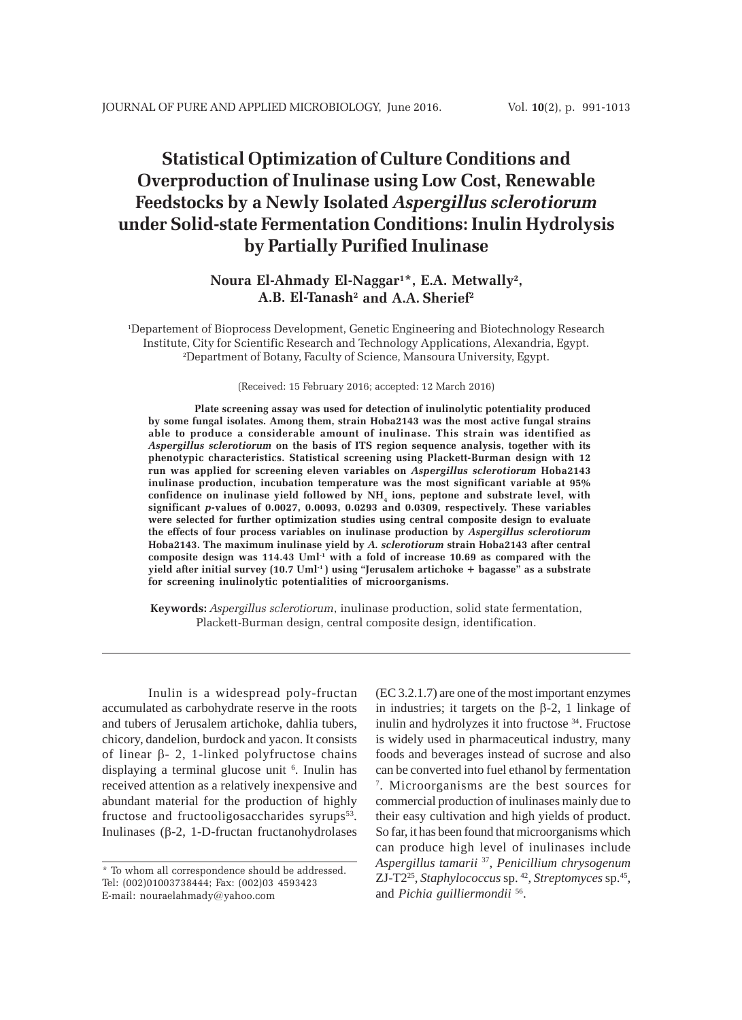# **Statistical Optimization of Culture Conditions and Overproduction of Inulinase using Low Cost, Renewable Feedstocks by a Newly Isolated** *Aspergillus sclerotiorum* **under Solid-state Fermentation Conditions: Inulin Hydrolysis by Partially Purified Inulinase**

# **Noura El-Ahmady El-Naggar1\*, E.A. Metwally2, A.B. El-Tanash2 and A.A. Sherief2**

1 Departement of Bioprocess Development, Genetic Engineering and Biotechnology Research Institute, City for Scientific Research and Technology Applications, Alexandria, Egypt. 2 Department of Botany, Faculty of Science, Mansoura University, Egypt.

### (Received: 15 February 2016; accepted: 12 March 2016)

**Plate screening assay was used for detection of inulinolytic potentiality produced by some fungal isolates. Among them, strain Hoba2143 was the most active fungal strains able to produce a considerable amount of inulinase. This strain was identified as** *Aspergillus sclerotiorum* **on the basis of ITS region sequence analysis, together with its phenotypic characteristics. Statistical screening using Plackett-Burman design with 12 run was applied for screening eleven variables on** *Aspergillus sclerotiorum* **Hoba2143 inulinase production, incubation temperature was the most significant variable at 95%** confidence on inulinase yield followed by NH<sub>4</sub> ions, peptone and substrate level, with **significant** *p***-values of 0.0027, 0.0093, 0.0293 and 0.0309, respectively. These variables were selected for further optimization studies using central composite design to evaluate the effects of four process variables on inulinase production by** *Aspergillus sclerotiorum* **Hoba2143. The maximum inulinase yield by** *A. sclerotiorum* **strain Hoba2143 after central composite design was 114.43 Uml-1 with a fold of increase 10.69 as compared with the yield after initial survey (10.7 Uml-1 ) using "Jerusalem artichoke + bagasse" as a substrate for screening inulinolytic potentialities of microorganisms.**

**Keywords:** *Aspergillus sclerotiorum*, inulinase production, solid state fermentation, Plackett-Burman design, central composite design, identification.

Inulin is a widespread poly-fructan accumulated as carbohydrate reserve in the roots and tubers of Jerusalem artichoke, dahlia tubers, chicory, dandelion, burdock and yacon. It consists of linear β- 2, 1-linked polyfructose chains displaying a terminal glucose unit <sup>6</sup>. Inulin has received attention as a relatively inexpensive and abundant material for the production of highly fructose and fructooligosaccharides syrups<sup>53</sup>. Inulinases (β-2, 1-D-fructan fructanohydrolases

(EC 3.2.1.7) are one of the most important enzymes in industries; it targets on the  $β-2$ , 1 linkage of inulin and hydrolyzes it into fructose 34. Fructose is widely used in pharmaceutical industry, many foods and beverages instead of sucrose and also can be converted into fuel ethanol by fermentation 7 . Microorganisms are the best sources for commercial production of inulinases mainly due to their easy cultivation and high yields of product. So far, it has been found that microorganisms which can produce high level of inulinases include *Aspergillus tamarii* 37, *Penicillium chrysogenum* ZJ-T225, *Staphylococcus* sp. 42, *Streptomyces* sp.45, and *Pichia guilliermondii* 56.

<sup>\*</sup> To whom all correspondence should be addressed. Tel: (002)01003738444; Fax: (002)03 4593423 E-mail: nouraelahmady@yahoo.com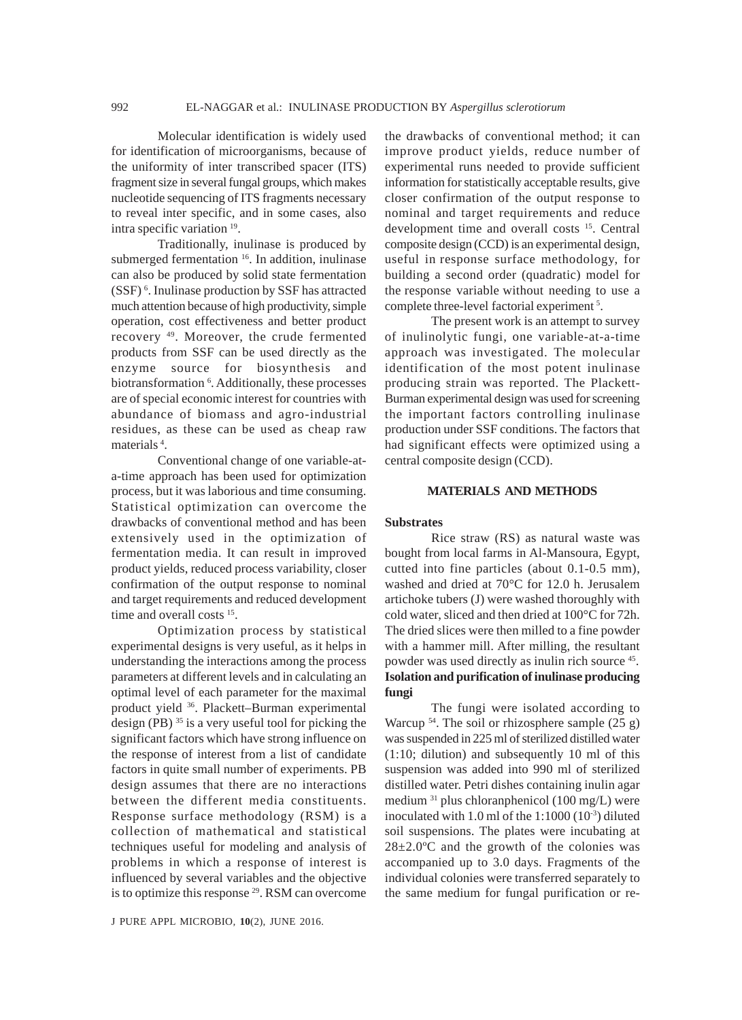Molecular identification is widely used for identification of microorganisms, because of the uniformity of inter transcribed spacer (ITS) fragment size in several fungal groups, which makes nucleotide sequencing of ITS fragments necessary to reveal inter specific, and in some cases, also intra specific variation 19.

Traditionally, inulinase is produced by submerged fermentation <sup>16</sup>. In addition, inulinase can also be produced by solid state fermentation (SSF) 6 . Inulinase production by SSF has attracted much attention because of high productivity, simple operation, cost effectiveness and better product recovery 49. Moreover, the crude fermented products from SSF can be used directly as the enzyme source for biosynthesis and biotransformation <sup>6</sup>. Additionally, these processes are of special economic interest for countries with abundance of biomass and agro-industrial residues, as these can be used as cheap raw materials<sup>4</sup>.

Conventional change of one variable-ata-time approach has been used for optimization process, but it was laborious and time consuming. Statistical optimization can overcome the drawbacks of conventional method and has been extensively used in the optimization of fermentation media. It can result in improved product yields, reduced process variability, closer confirmation of the output response to nominal and target requirements and reduced development time and overall costs <sup>15</sup>.

Optimization process by statistical experimental designs is very useful, as it helps in understanding the interactions among the process parameters at different levels and in calculating an optimal level of each parameter for the maximal product yield 36. Plackett–Burman experimental design (PB)  $35$  is a very useful tool for picking the significant factors which have strong influence on the response of interest from a list of candidate factors in quite small number of experiments. PB design assumes that there are no interactions between the different media constituents. Response surface methodology (RSM) is a collection of mathematical and statistical techniques useful for modeling and analysis of problems in which a response of interest is influenced by several variables and the objective is to optimize this response <sup>29</sup>. RSM can overcome

the drawbacks of conventional method; it can improve product yields, reduce number of experimental runs needed to provide sufficient information for statistically acceptable results, give closer confirmation of the output response to nominal and target requirements and reduce development time and overall costs 15. Central composite design (CCD) is an experimental design, useful in response surface methodology, for building a second order (quadratic) model for the response variable without needing to use a complete three-level factorial experiment<sup>5</sup>.

The present work is an attempt to survey of inulinolytic fungi, one variable-at-a-time approach was investigated. The molecular identification of the most potent inulinase producing strain was reported. The Plackett-Burman experimental design was used for screening the important factors controlling inulinase production under SSF conditions. The factors that had significant effects were optimized using a central composite design (CCD).

# **MATERIALS AND METHODS**

### **Substrates**

Rice straw (RS) as natural waste was bought from local farms in Al-Mansoura, Egypt, cutted into fine particles (about 0.1-0.5 mm), washed and dried at 70°C for 12.0 h. Jerusalem artichoke tubers (J) were washed thoroughly with cold water, sliced and then dried at 100°C for 72h. The dried slices were then milled to a fine powder with a hammer mill. After milling, the resultant powder was used directly as inulin rich source 45. **Isolation and purification of inulinase producing fungi**

The fungi were isolated according to Warcup<sup>54</sup>. The soil or rhizosphere sample (25 g) was suspended in 225 ml of sterilized distilled water (1:10; dilution) and subsequently 10 ml of this suspension was added into 990 ml of sterilized distilled water. Petri dishes containing inulin agar medium 31 plus chloranphenicol (100 mg/L) were inoculated with 1.0 ml of the  $1:1000(10^{-3})$  diluted soil suspensions. The plates were incubating at 28±2.0ºC and the growth of the colonies was accompanied up to 3.0 days. Fragments of the individual colonies were transferred separately to the same medium for fungal purification or re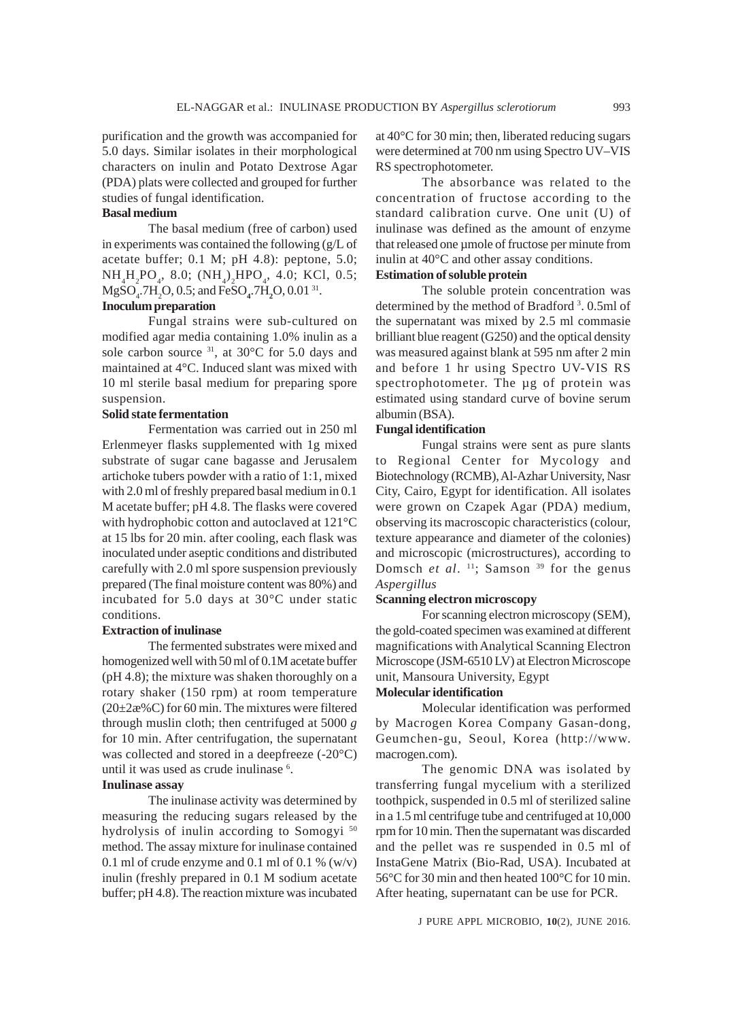purification and the growth was accompanied for 5.0 days. Similar isolates in their morphological characters on inulin and Potato Dextrose Agar (PDA) plats were collected and grouped for further studies of fungal identification.

# **Basal medium**

The basal medium (free of carbon) used in experiments was contained the following (g/L of acetate buffer; 0.1 M; pH 4.8): peptone, 5.0;  $NH_4H_2PO_4$ , 8.0;  $(NH_4)_2HPO_4$ , 4.0; KCl, 0.5;  $MgSO_4$ .7H<sub>2</sub>O, 0.5; and FeSO<sub>4</sub>.7H<sub>2</sub>O, 0.01<sup>31</sup>.

### **Inoculum preparation**

Fungal strains were sub-cultured on modified agar media containing 1.0% inulin as a sole carbon source <sup>31</sup>, at 30°C for 5.0 days and maintained at 4°C. Induced slant was mixed with 10 ml sterile basal medium for preparing spore suspension.

# **Solid state fermentation**

Fermentation was carried out in 250 ml Erlenmeyer flasks supplemented with 1g mixed substrate of sugar cane bagasse and Jerusalem artichoke tubers powder with a ratio of 1:1, mixed with 2.0 ml of freshly prepared basal medium in 0.1 M acetate buffer; pH 4.8. The flasks were covered with hydrophobic cotton and autoclaved at 121°C at 15 lbs for 20 min. after cooling, each flask was inoculated under aseptic conditions and distributed carefully with 2.0 ml spore suspension previously prepared (The final moisture content was 80%) and incubated for 5.0 days at 30°C under static conditions.

### **Extraction of inulinase**

The fermented substrates were mixed and homogenized well with 50 ml of 0.1M acetate buffer (pH 4.8); the mixture was shaken thoroughly on a rotary shaker (150 rpm) at room temperature  $(20\pm2\alpha\%C)$  for 60 min. The mixtures were filtered through muslin cloth; then centrifuged at 5000 *g* for 10 min. After centrifugation, the supernatant was collected and stored in a deepfreeze (-20°C) until it was used as crude inulinase <sup>6</sup>.

# **Inulinase assay**

The inulinase activity was determined by measuring the reducing sugars released by the hydrolysis of inulin according to Somogyi  $50$ method. The assay mixture for inulinase contained 0.1 ml of crude enzyme and 0.1 ml of 0.1 %  $(w/v)$ inulin (freshly prepared in 0.1 M sodium acetate buffer; pH 4.8). The reaction mixture was incubated at 40°C for 30 min; then, liberated reducing sugars were determined at 700 nm using Spectro UV–VIS RS spectrophotometer.

The absorbance was related to the concentration of fructose according to the standard calibration curve. One unit (U) of inulinase was defined as the amount of enzyme that released one µmole of fructose per minute from inulin at 40°C and other assay conditions.

# **Estimation of soluble protein**

The soluble protein concentration was determined by the method of Bradford<sup>3</sup>. 0.5ml of the supernatant was mixed by 2.5 ml commasie brilliant blue reagent (G250) and the optical density was measured against blank at 595 nm after 2 min and before 1 hr using Spectro UV-VIS RS spectrophotometer. The ug of protein was estimated using standard curve of bovine serum albumin (BSA).

# **Fungal identification**

Fungal strains were sent as pure slants to Regional Center for Mycology and Biotechnology (RCMB), Al-Azhar University, Nasr City, Cairo, Egypt for identification. All isolates were grown on Czapek Agar (PDA) medium, observing its macroscopic characteristics (colour, texture appearance and diameter of the colonies) and microscopic (microstructures), according to Domsch *et al.* <sup>11</sup>; Samson <sup>39</sup> for the genus *Aspergillus*

### **Scanning electron microscopy**

For scanning electron microscopy (SEM), the gold-coated specimen was examined at different magnifications with Analytical Scanning Electron Microscope (JSM-6510 LV) at Electron Microscope unit, Mansoura University, Egypt

# **Molecular identification**

Molecular identification was performed by Macrogen Korea Company Gasan-dong, Geumchen-gu, Seoul, Korea (http://www. macrogen.com).

The genomic DNA was isolated by transferring fungal mycelium with a sterilized toothpick, suspended in 0.5 ml of sterilized saline in a 1.5 ml centrifuge tube and centrifuged at 10,000 rpm for 10 min. Then the supernatant was discarded and the pellet was re suspended in 0.5 ml of InstaGene Matrix (Bio-Rad, USA). Incubated at 56°C for 30 min and then heated 100°C for 10 min. After heating, supernatant can be use for PCR.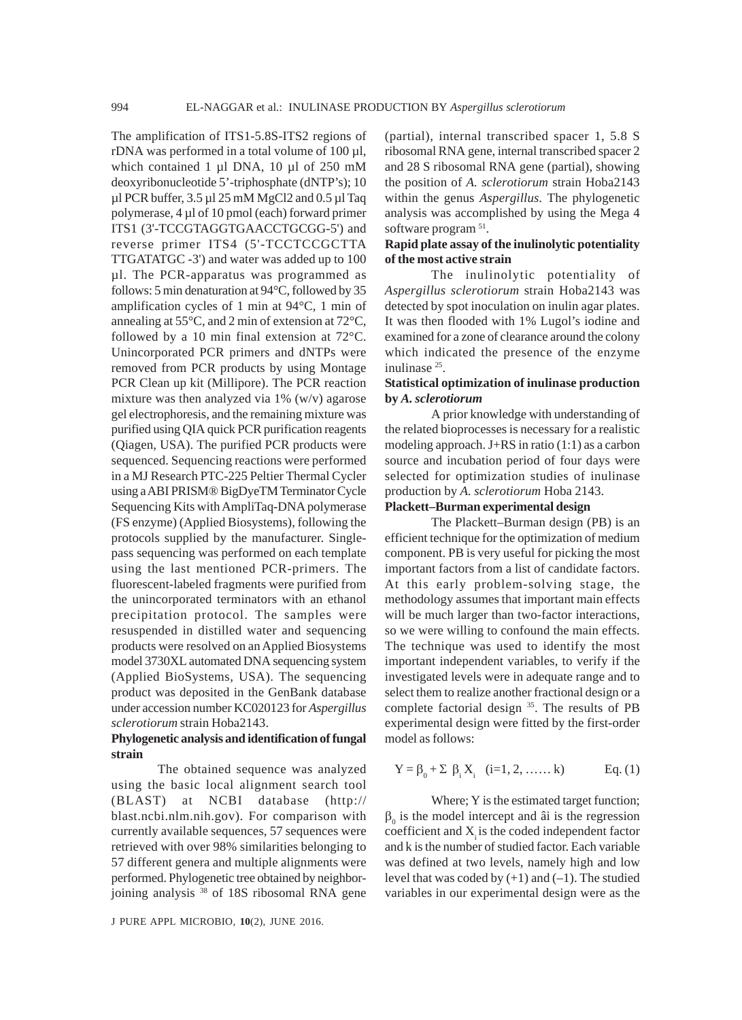The amplification of ITS1-5.8S-ITS2 regions of rDNA was performed in a total volume of 100 µl, which contained 1 µl DNA, 10 µl of 250 mM deoxyribonucleotide 5'-triphosphate (dNTP's); 10 µl PCR buffer, 3.5 µl 25 mM MgCl2 and 0.5 µl Taq polymerase, 4 µl of 10 pmol (each) forward primer ITS1 (3'-TCCGTAGGTGAACCTGCGG-5') and reverse primer ITS4 (5'-TCCTCCGCTTA TTGATATGC -3') and water was added up to 100 µl. The PCR-apparatus was programmed as follows: 5 min denaturation at 94°C, followed by 35 amplification cycles of 1 min at 94°C, 1 min of annealing at 55°C, and 2 min of extension at 72°C, followed by a 10 min final extension at 72°C. Unincorporated PCR primers and dNTPs were removed from PCR products by using Montage PCR Clean up kit (Millipore). The PCR reaction mixture was then analyzed via 1% (w/v) agarose gel electrophoresis, and the remaining mixture was purified using QIA quick PCR purification reagents (Qiagen, USA). The purified PCR products were sequenced. Sequencing reactions were performed in a MJ Research PTC-225 Peltier Thermal Cycler using a ABI PRISM® BigDyeTM Terminator Cycle Sequencing Kits with AmpliTaq-DNA polymerase (FS enzyme) (Applied Biosystems), following the protocols supplied by the manufacturer. Singlepass sequencing was performed on each template using the last mentioned PCR-primers. The fluorescent-labeled fragments were purified from the unincorporated terminators with an ethanol precipitation protocol. The samples were resuspended in distilled water and sequencing products were resolved on an Applied Biosystems model 3730XL automated DNA sequencing system (Applied BioSystems, USA). The sequencing product was deposited in the GenBank database under accession number KC020123 for *Aspergillus sclerotiorum* strain Hoba2143.

# **Phylogenetic analysis and identification of fungal strain**

The obtained sequence was analyzed using the basic local alignment search tool (BLAST) at NCBI database (http:// blast.ncbi.nlm.nih.gov). For comparison with currently available sequences, 57 sequences were retrieved with over 98% similarities belonging to 57 different genera and multiple alignments were performed. Phylogenetic tree obtained by neighborjoining analysis <sup>38</sup> of 18S ribosomal RNA gene

J PURE APPL MICROBIO*,* **10**(2), JUNE 2016.

(partial), internal transcribed spacer 1, 5.8 S ribosomal RNA gene, internal transcribed spacer 2 and 28 S ribosomal RNA gene (partial), showing the position of *A. sclerotiorum* strain Hoba2143 within the genus *Aspergillus*. The phylogenetic analysis was accomplished by using the Mega 4 software program <sup>51</sup>.

# **Rapid plate assay of the inulinolytic potentiality of the most active strain**

The inulinolytic potentiality of *Aspergillus sclerotiorum* strain Hoba2143 was detected by spot inoculation on inulin agar plates. It was then flooded with 1% Lugol's iodine and examined for a zone of clearance around the colony which indicated the presence of the enzyme inulinase 25.

# **Statistical optimization of inulinase production by** *A. sclerotiorum*

A prior knowledge with understanding of the related bioprocesses is necessary for a realistic modeling approach. J+RS in ratio (1:1) as a carbon source and incubation period of four days were selected for optimization studies of inulinase production by *A. sclerotiorum* Hoba 2143.

#### **Plackett–Burman experimental design**

The Plackett–Burman design (PB) is an efficient technique for the optimization of medium component. PB is very useful for picking the most important factors from a list of candidate factors. At this early problem-solving stage, the methodology assumes that important main effects will be much larger than two-factor interactions, so we were willing to confound the main effects. The technique was used to identify the most important independent variables, to verify if the investigated levels were in adequate range and to select them to realize another fractional design or a complete factorial design 35. The results of PB experimental design were fitted by the first-order model as follows:

$$
Y = \beta_0 + \Sigma \beta_i X_i \quad (i = 1, 2, \dots, k) \qquad \text{Eq. (1)}
$$

Where; Y is the estimated target function;  $\beta_0$  is the model intercept and âi is the regression coefficient and  $X_i$  is the coded independent factor and k is the number of studied factor. Each variable was defined at two levels, namely high and low level that was coded by  $(+1)$  and  $(-1)$ . The studied variables in our experimental design were as the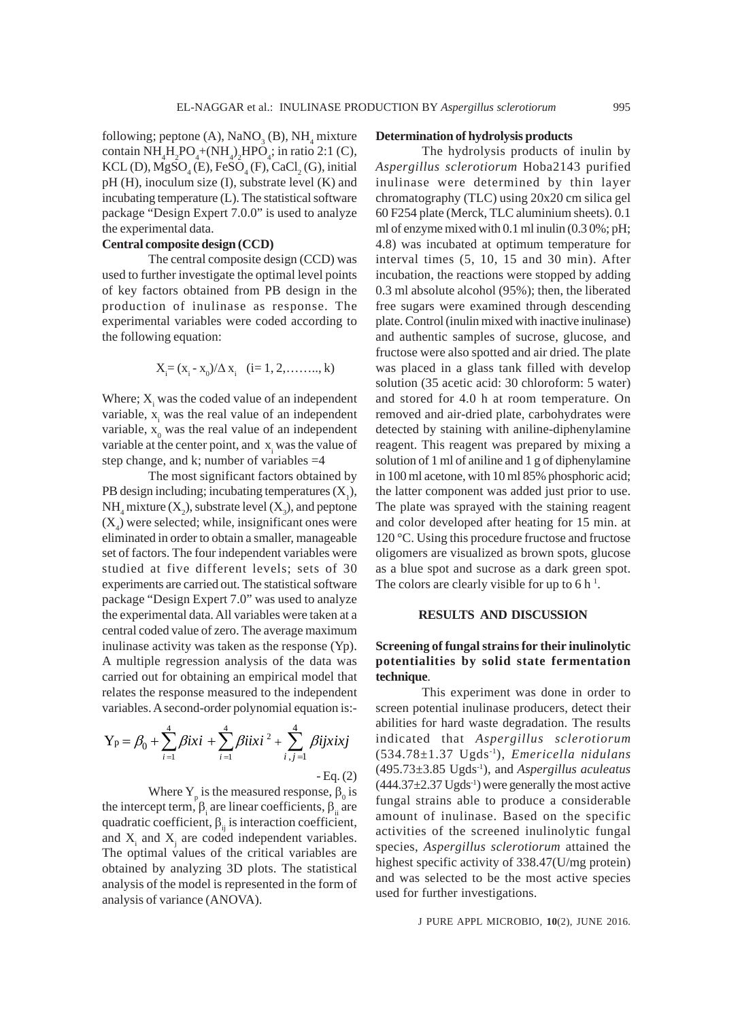following; peptone (A),  $\text{NaNO}_3$  (B),  $\text{NH}_4$  mixture contain  $NH_4H_2PO_4+(NH_4)_2HPO_4$ ; in ratio 2:1 (C),  $KCL$  (D),  $MgSO<sub>4</sub>(E)$ ,  $FeSO<sub>4</sub>(F)$ ,  $CaCl<sub>2</sub>(G)$ , initial pH (H), inoculum size (I), substrate level (K) and incubating temperature (L). The statistical software package "Design Expert 7.0.0" is used to analyze the experimental data.

#### **Central composite design (CCD)**

The central composite design (CCD) was used to further investigate the optimal level points of key factors obtained from PB design in the production of inulinase as response. The experimental variables were coded according to the following equation:

$$
X_i = (x_i - x_0) / \Delta x_i \quad (i = 1, 2, \dots, k)
$$

Where;  $X_i$  was the coded value of an independent variable,  $x_i$  was the real value of an independent variable,  $x_0$  was the real value of an independent variable at the center point, and  $x_i$  was the value of step change, and k; number of variables  $=4$ 

The most significant factors obtained by PB design including; incubating temperatures  $(X_1)$ ,  $NH<sub>4</sub>$  mixture (X<sub>2</sub>), substrate level (X<sub>3</sub>), and peptone  $(X_4)$  were selected; while, insignificant ones were eliminated in order to obtain a smaller, manageable set of factors. The four independent variables were studied at five different levels; sets of 30 experiments are carried out. The statistical software package "Design Expert 7.0" was used to analyze the experimental data. All variables were taken at a central coded value of zero. The average maximum inulinase activity was taken as the response (Yp). A multiple regression analysis of the data was carried out for obtaining an empirical model that relates the response measured to the independent variables. A second-order polynomial equation is:-

$$
Y_{p} = \beta_{0} + \sum_{i=1}^{4} \beta ixi + \sum_{i=1}^{4} \beta iixi^{2} + \sum_{i,j=1}^{4} \beta ijxixj
$$
  
- Eq. (2)

Where  $Y_{p}$  is the measured response,  $\beta_{0}$  is the intercept term,  $\beta_i$  are linear coefficients,  $\beta_{ii}$  are quadratic coefficient,  $\beta$ <sub>ii</sub> is interaction coefficient, and  $X_i$  and  $X_j$  are coded independent variables. The optimal values of the critical variables are obtained by analyzing 3D plots. The statistical analysis of the model is represented in the form of analysis of variance (ANOVA).

### **Determination of hydrolysis products**

The hydrolysis products of inulin by *Aspergillus sclerotiorum* Hoba2143 purified inulinase were determined by thin layer chromatography (TLC) using 20x20 cm silica gel 60 F254 plate (Merck, TLC aluminium sheets). 0.1 ml of enzyme mixed with 0.1 ml inulin (0.3 0%; pH; 4.8) was incubated at optimum temperature for interval times (5, 10, 15 and 30 min). After incubation, the reactions were stopped by adding 0.3 ml absolute alcohol (95%); then, the liberated free sugars were examined through descending plate. Control (inulin mixed with inactive inulinase) and authentic samples of sucrose, glucose, and fructose were also spotted and air dried. The plate was placed in a glass tank filled with develop solution (35 acetic acid: 30 chloroform: 5 water) and stored for 4.0 h at room temperature. On removed and air-dried plate, carbohydrates were detected by staining with aniline-diphenylamine reagent. This reagent was prepared by mixing a solution of 1 ml of aniline and 1 g of diphenylamine in 100 ml acetone, with 10 ml 85% phosphoric acid; the latter component was added just prior to use. The plate was sprayed with the staining reagent and color developed after heating for 15 min. at 120 °C. Using this procedure fructose and fructose oligomers are visualized as brown spots, glucose as a blue spot and sucrose as a dark green spot. The colors are clearly visible for up to  $6 h<sup>1</sup>$ .

### **RESULTS AND DISCUSSION**

# **Screening of fungal strains for their inulinolytic potentialities by solid state fermentation technique**.

This experiment was done in order to screen potential inulinase producers, detect their abilities for hard waste degradation. The results indicated that *Aspergillus sclerotiorum* (534.78±1.37 Ugds-1), *Emericella nidulans* (495.73±3.85 Ugds-1), and *Aspergillus aculeatus*  $(444.37\pm2.37 \text{ Ugds}^{-1})$  were generally the most active fungal strains able to produce a considerable amount of inulinase. Based on the specific activities of the screened inulinolytic fungal species, *Aspergillus sclerotiorum* attained the highest specific activity of 338.47(U/mg protein) and was selected to be the most active species used for further investigations.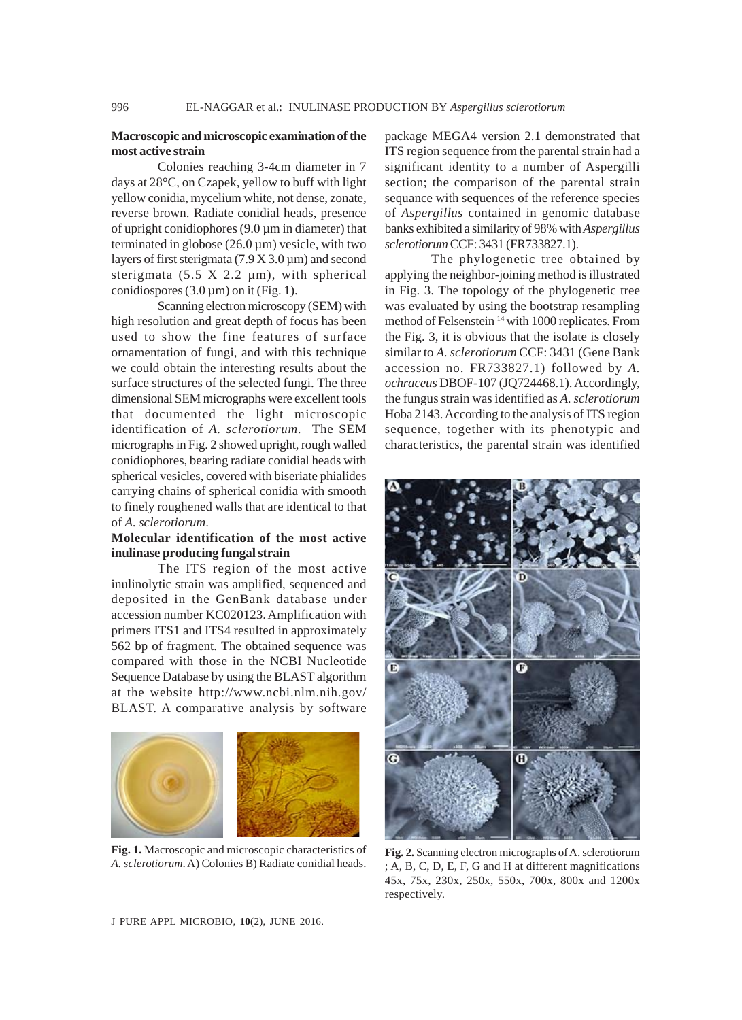# **Macroscopic and microscopic examination of the most active strain**

Colonies reaching 3-4cm diameter in 7 days at 28°C, on Czapek, yellow to buff with light yellow conidia, mycelium white, not dense, zonate, reverse brown. Radiate conidial heads, presence of upright conidiophores  $(9.0 \,\mu\text{m})$  in diameter) that terminated in globose  $(26.0 \,\text{\mu m})$  vesicle, with two layers of first sterigmata  $(7.9 \text{ X } 3.0 \mu \text{m})$  and second sterigmata (5.5  $X$  2.2  $\mu$ m), with spherical conidiospores  $(3.0 \,\mu\text{m})$  on it (Fig. 1).

Scanning electron microscopy (SEM) with high resolution and great depth of focus has been used to show the fine features of surface ornamentation of fungi, and with this technique we could obtain the interesting results about the surface structures of the selected fungi. The three dimensional SEM micrographs were excellent tools that documented the light microscopic identification of *A. sclerotiorum*. The SEM micrographs in Fig. 2 showed upright, rough walled conidiophores, bearing radiate conidial heads with spherical vesicles, covered with biseriate phialides carrying chains of spherical conidia with smooth to finely roughened walls that are identical to that of *A. sclerotiorum*.

# **Molecular identification of the most active inulinase producing fungal strain**

The ITS region of the most active inulinolytic strain was amplified, sequenced and deposited in the GenBank database under accession number KC020123. Amplification with primers ITS1 and ITS4 resulted in approximately 562 bp of fragment. The obtained sequence was compared with those in the NCBI Nucleotide Sequence Database by using the BLAST algorithm at the website http://www.ncbi.nlm.nih.gov/ BLAST. A comparative analysis by software



**Fig. 1.** Macroscopic and microscopic characteristics of *A. sclerotiorum*. A) Colonies B) Radiate conidial heads.

package MEGA4 version 2.1 demonstrated that ITS region sequence from the parental strain had a significant identity to a number of Aspergilli section; the comparison of the parental strain sequance with sequences of the reference species of *Aspergillus* contained in genomic database banks exhibited a similarity of 98% with *Aspergillus sclerotiorum* CCF: 3431 (FR733827.1).

The phylogenetic tree obtained by applying the neighbor-joining method is illustrated in Fig. 3. The topology of the phylogenetic tree was evaluated by using the bootstrap resampling method of Felsenstein 14 with 1000 replicates. From the Fig. 3, it is obvious that the isolate is closely similar to *A. sclerotiorum* CCF: 3431 (Gene Bank accession no. FR733827.1) followed by *A. ochraceus* DBOF-107 (JQ724468.1). Accordingly, the fungus strain was identified as *A. sclerotiorum* Hoba 2143. According to the analysis of ITS region sequence, together with its phenotypic and characteristics, the parental strain was identified



**Fig. 2.** Scanning electron micrographs of A. sclerotiorum ; A, B, C, D, E, F, G and H at different magnifications 45x, 75x, 230x, 250x, 550x, 700x, 800x and 1200x respectively.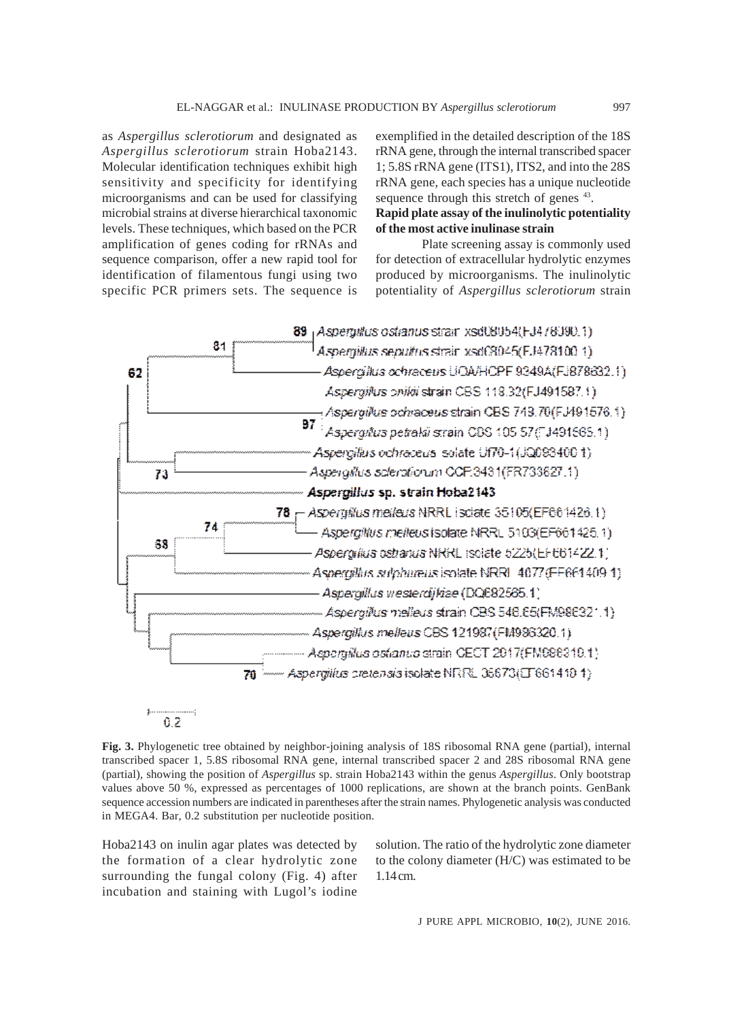as *Aspergillus sclerotiorum* and designated as *Aspergillus sclerotiorum* strain Hoba2143. Molecular identification techniques exhibit high sensitivity and specificity for identifying microorganisms and can be used for classifying microbial strains at diverse hierarchical taxonomic levels. These techniques, which based on the PCR amplification of genes coding for rRNAs and sequence comparison, offer a new rapid tool for identification of filamentous fungi using two specific PCR primers sets. The sequence is exemplified in the detailed description of the 18S rRNA gene, through the internal transcribed spacer 1; 5.8S rRNA gene (ITS1), ITS2, and into the 28S rRNA gene, each species has a unique nucleotide sequence through this stretch of genes  $43$ . **Rapid plate assay of the inulinolytic potentiality of the most active inulinase strain**

Plate screening assay is commonly used for detection of extracellular hydrolytic enzymes produced by microorganisms. The inulinolytic potentiality of *Aspergillus sclerotiorum* strain



**Fig. 3.** Phylogenetic tree obtained by neighbor-joining analysis of 18S ribosomal RNA gene (partial), internal transcribed spacer 1, 5.8S ribosomal RNA gene, internal transcribed spacer 2 and 28S ribosomal RNA gene (partial), showing the position of *Aspergillus* sp. strain Hoba2143 within the genus *Aspergillus*. Only bootstrap values above 50 %, expressed as percentages of 1000 replications, are shown at the branch points. GenBank sequence accession numbers are indicated in parentheses after the strain names. Phylogenetic analysis was conducted in MEGA4. Bar, 0.2 substitution per nucleotide position.

Hoba2143 on inulin agar plates was detected by the formation of a clear hydrolytic zone surrounding the fungal colony (Fig. 4) after incubation and staining with Lugol's iodine solution. The ratio of the hydrolytic zone diameter to the colony diameter (H/C) was estimated to be 1.14 cm.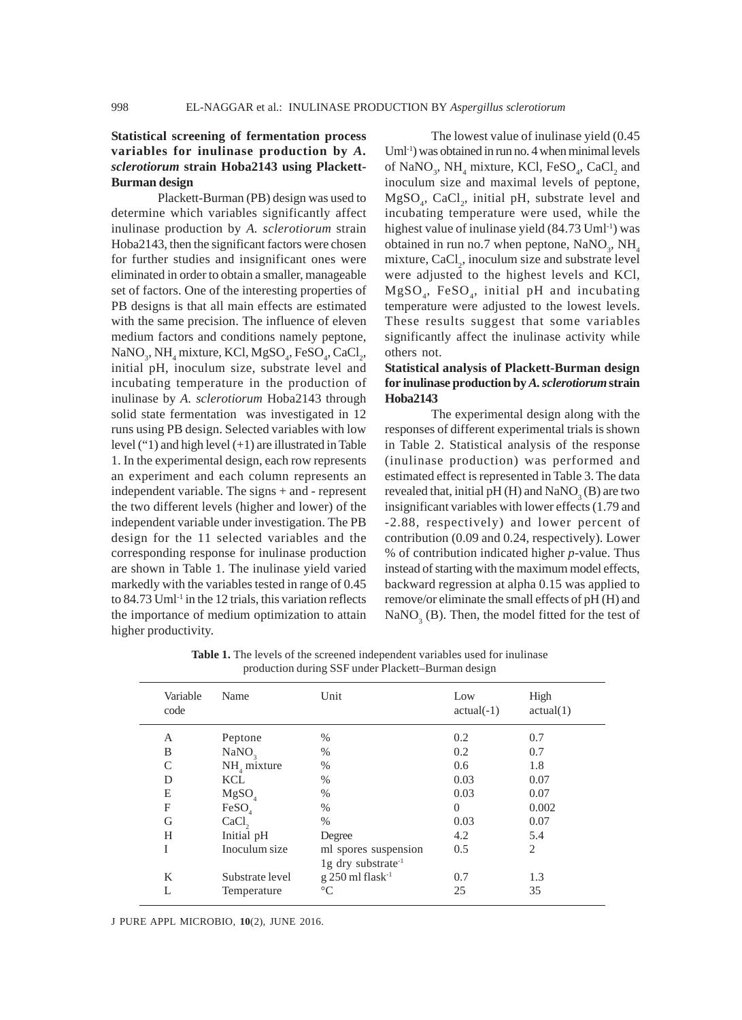# **Statistical screening of fermentation process variables for inulinase production by** *A. sclerotiorum* **strain Hoba2143 using Plackett-Burman design**

Plackett-Burman (PB) design was used to determine which variables significantly affect inulinase production by *A. sclerotiorum* strain Hoba2143, then the significant factors were chosen for further studies and insignificant ones were eliminated in order to obtain a smaller, manageable set of factors. One of the interesting properties of PB designs is that all main effects are estimated with the same precision. The influence of eleven medium factors and conditions namely peptone,  $\text{NaNO}_3$ ,  $\text{NH}_4$  mixture, KCl,  $\text{MgSO}_4$ , FeSO<sub>4</sub>, CaCl<sub>2</sub>, initial pH, inoculum size, substrate level and incubating temperature in the production of inulinase by *A. sclerotiorum* Hoba2143 through solid state fermentation was investigated in 12 runs using PB design. Selected variables with low level ("1) and high level (+1) are illustrated in Table 1. In the experimental design, each row represents an experiment and each column represents an independent variable. The signs + and - represent the two different levels (higher and lower) of the independent variable under investigation. The PB design for the 11 selected variables and the corresponding response for inulinase production are shown in Table 1. The inulinase yield varied markedly with the variables tested in range of 0.45 to 84.73 Uml<sup>-1</sup> in the 12 trials, this variation reflects the importance of medium optimization to attain higher productivity.

The lowest value of inulinase yield (0.45 Uml-1) was obtained in run no. 4 when minimal levels of NaNO<sub>3</sub>, NH<sub>4</sub> mixture, KCl, FeSO<sub>4</sub>, CaCl<sub>2</sub> and inoculum size and maximal levels of peptone,  $MgSO_4$ , CaCl<sub>2</sub>, initial pH, substrate level and incubating temperature were used, while the highest value of inulinase yield (84.73 Uml<sup>-1</sup>) was obtained in run no.7 when peptone,  $\text{NaNO}_3$ ,  $\text{NH}_4$ mixture, CaCl<sub>2</sub>, inoculum size and substrate level were adjusted to the highest levels and KCl,  $MgSO<sub>4</sub>$ , FeSO<sub>4</sub>, initial pH and incubating temperature were adjusted to the lowest levels. These results suggest that some variables significantly affect the inulinase activity while others not.

# **Statistical analysis of Plackett-Burman design for inulinase production by** *A. sclerotiorum* **strain Hoba2143**

The experimental design along with the responses of different experimental trials is shown in Table 2. Statistical analysis of the response (inulinase production) was performed and estimated effect is represented in Table 3. The data revealed that, initial pH  $(H)$  and  $\text{NaNO}_3(\text{B})$  are two insignificant variables with lower effects (1.79 and -2.88, respectively) and lower percent of contribution (0.09 and 0.24, respectively). Lower % of contribution indicated higher *p*-value. Thus instead of starting with the maximum model effects, backward regression at alpha 0.15 was applied to remove/or eliminate the small effects of pH (H) and  $\text{NaNO}_3$  (B). Then, the model fitted for the test of

| Variable<br>code | Name                    | Unit                                                     | Low<br>$actual(-1)$ | High<br>actual(1) |
|------------------|-------------------------|----------------------------------------------------------|---------------------|-------------------|
| A                | Peptone                 | $\%$                                                     | 0.2                 | 0.7               |
| B                | NaNO <sub>2</sub>       | $\%$                                                     | 0.2                 | 0.7               |
| C                | NH <sub>4</sub> mixture | $\%$                                                     | 0.6                 | 1.8               |
| D                | KCL                     | $\%$                                                     | 0.03                | 0.07              |
| E                | MgSO <sub>4</sub>       | $\%$                                                     | 0.03                | 0.07              |
| F                | FeSO <sub>4</sub>       | $\%$                                                     | $\theta$            | 0.002             |
| G                | CaCl <sub>2</sub>       | $\%$                                                     | 0.03                | 0.07              |
| Н                | Initial pH              | Degree                                                   | 4.2                 | 5.4               |
| I                | Inoculum size           | ml spores suspension<br>$1g$ dry substrate <sup>-1</sup> | 0.5                 | 2                 |
| K                | Substrate level         | $g$ 250 ml flask <sup>-1</sup>                           | 0.7                 | 1.3               |
| L                | Temperature             | $\rm ^{\circ}C$                                          | 25                  | 35                |

Table 1. The levels of the screened independent variables used for inulinase production during SSF under Plackett–Burman design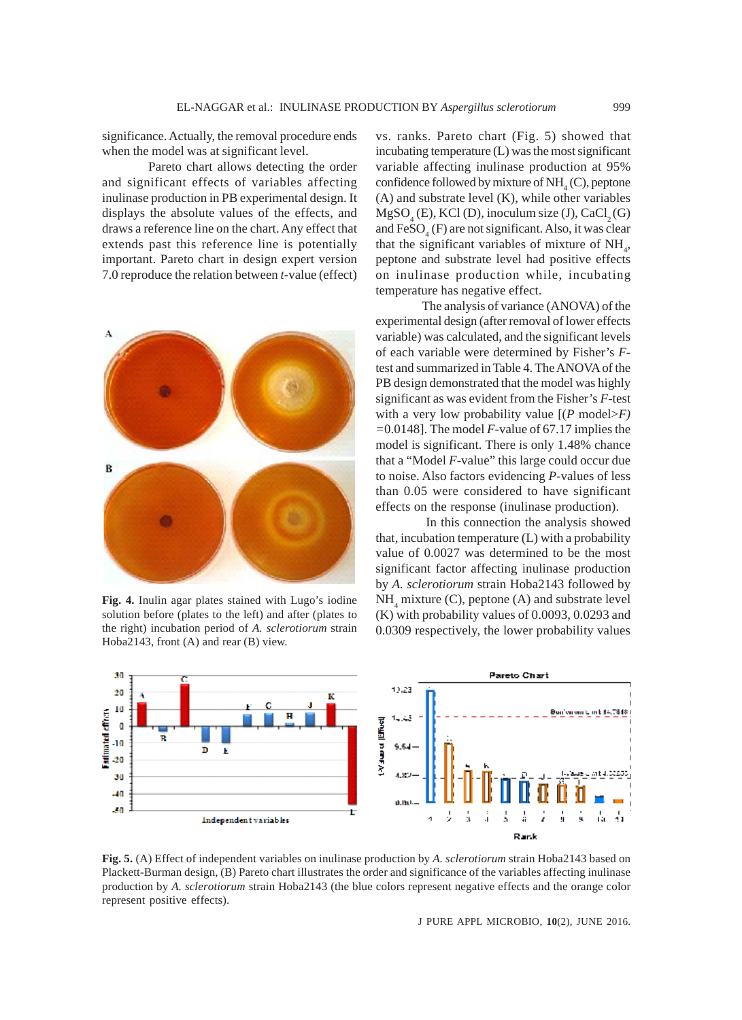significance. Actually, the removal procedure ends when the model was at significant level.

Pareto chart allows detecting the order and significant effects of variables affecting inulinase production in PB experimental design. It displays the absolute values of the effects, and draws a reference line on the chart. Any effect that extends past this reference line is potentially important. Pareto chart in design expert version 7.0 reproduce the relation between *t*-value (effect)



**Fig. 4.** Inulin agar plates stained with Lugo's iodine solution before (plates to the left) and after (plates to the right) incubation period of *A. sclerotiorum* strain Hoba2143, front (A) and rear (B) view.

vs. ranks. Pareto chart (Fig. 5) showed that incubating temperature (L) was the most significant variable affecting inulinase production at 95% confidence followed by mixture of  $NH<sub>4</sub>(C)$ , peptone (A) and substrate level (K), while other variables  $MgSO<sub>4</sub>(E)$ , KCl (D), inoculum size (J), CaCl<sub>2</sub>(G) and  $\text{FeSO}_4(\text{F})$  are not significant. Also, it was clear that the significant variables of mixture of  $NH<sub>4</sub>$ , peptone and substrate level had positive effects on inulinase production while, incubating temperature has negative effect.

The analysis of variance (ANOVA) of the experimental design (after removal of lower effects variable) was calculated, and the significant levels of each variable were determined by Fisher's *F*test and summarized in Table 4. The ANOVA of the PB design demonstrated that the model was highly significant as was evident from the Fisher's *F*-test with a very low probability value  $[(P \text{ model} > F)]$ *=*0.0148]. The model *F*-value of 67.17 implies the model is significant. There is only 1.48% chance that a "Model *F*-value" this large could occur due to noise. Also factors evidencing *P*-values of less than 0.05 were considered to have significant effects on the response (inulinase production).

 In this connection the analysis showed that, incubation temperature (L) with a probability value of 0.0027 was determined to be the most significant factor affecting inulinase production by *A. sclerotiorum* strain Hoba2143 followed by NH<sub>4</sub> mixture (C), peptone (A) and substrate level (K) with probability values of 0.0093, 0.0293 and 0.0309 respectively, the lower probability values



**Fig. 5.** (A) Effect of independent variables on inulinase production by *A. sclerotiorum* strain Hoba2143 based on Plackett-Burman design, (B) Pareto chart illustrates the order and significance of the variables affecting inulinase production by *A. sclerotiorum* strain Hoba2143 (the blue colors represent negative effects and the orange color represent positive effects).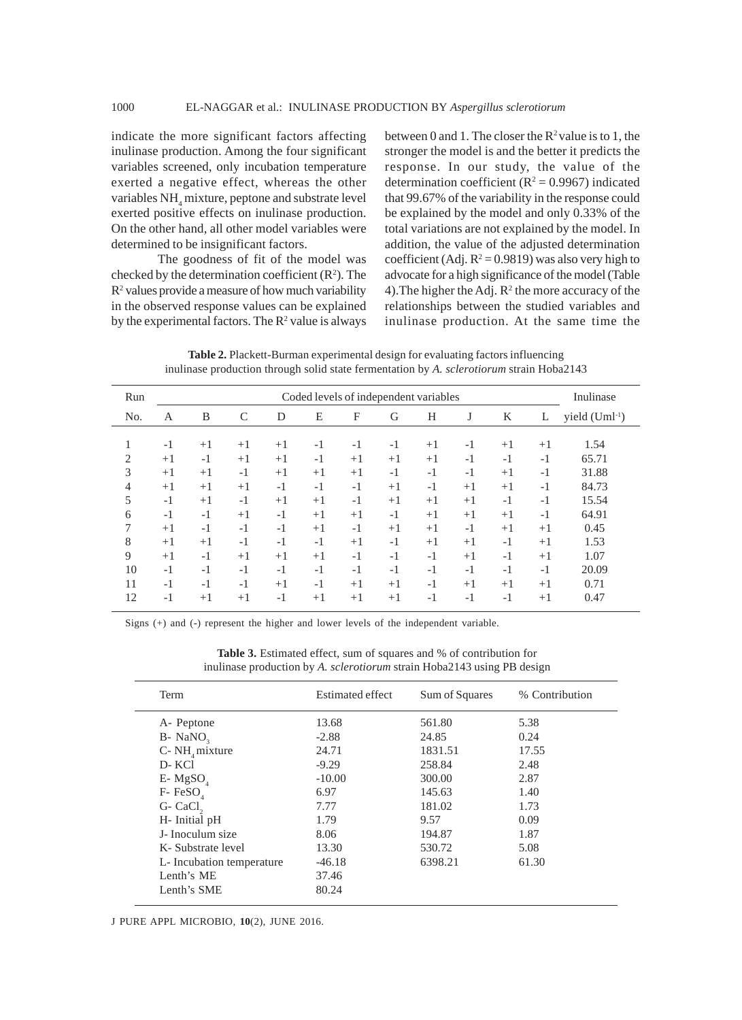indicate the more significant factors affecting inulinase production. Among the four significant variables screened, only incubation temperature exerted a negative effect, whereas the other variables NH<sub>4</sub> mixture, peptone and substrate level exerted positive effects on inulinase production. On the other hand, all other model variables were determined to be insignificant factors.

The goodness of fit of the model was checked by the determination coefficient  $(R^2)$ . The R<sup>2</sup> values provide a measure of how much variability in the observed response values can be explained by the experimental factors. The  $\mathbb{R}^2$  value is always

between 0 and 1. The closer the  $R^2$  value is to 1, the stronger the model is and the better it predicts the response. In our study, the value of the determination coefficient ( $R^2 = 0.9967$ ) indicated that 99.67% of the variability in the response could be explained by the model and only 0.33% of the total variations are not explained by the model. In addition, the value of the adjusted determination coefficient (Adj.  $R^2 = 0.9819$ ) was also very high to advocate for a high significance of the model (Table 4). The higher the Adj.  $\mathbb{R}^2$  the more accuracy of the relationships between the studied variables and inulinase production. At the same time the

**Table 2.** Plackett-Burman experimental design for evaluating factors influencing inulinase production through solid state fermentation by *A. sclerotiorum* strain Hoba2143

| Run                             | Coded levels of independent variables                        |                                                              |                                                              |                                                              |                                                              |                                                              |                                                              | Inulinase                                                    |                                                              |                                                              |                                                              |                                                                   |
|---------------------------------|--------------------------------------------------------------|--------------------------------------------------------------|--------------------------------------------------------------|--------------------------------------------------------------|--------------------------------------------------------------|--------------------------------------------------------------|--------------------------------------------------------------|--------------------------------------------------------------|--------------------------------------------------------------|--------------------------------------------------------------|--------------------------------------------------------------|-------------------------------------------------------------------|
| No.                             | A                                                            | B                                                            | C                                                            | D                                                            | E                                                            | F                                                            | G                                                            | H                                                            | J                                                            | K                                                            | L                                                            | yield $(Uml^{-1})$                                                |
| 2<br>3<br>4<br>5<br>6<br>7<br>8 | $-1$<br>$+1$<br>$+1$<br>$+1$<br>$-1$<br>$-1$<br>$+1$<br>$+1$ | $+1$<br>$-1$<br>$+1$<br>$+1$<br>$+1$<br>$-1$<br>$-1$<br>$+1$ | $+1$<br>$+1$<br>$-1$<br>$+1$<br>$-1$<br>$+1$<br>$-1$<br>$-1$ | $+1$<br>$+1$<br>$+1$<br>$-1$<br>$+1$<br>$-1$<br>$-1$<br>$-1$ | $-1$<br>$-1$<br>$+1$<br>$-1$<br>$+1$<br>$+1$<br>$+1$<br>$-1$ | $-1$<br>$+1$<br>$+1$<br>$-1$<br>$-1$<br>$+1$<br>$-1$<br>$+1$ | $-1$<br>$+1$<br>$-1$<br>$+1$<br>$+1$<br>$-1$<br>$+1$<br>$-1$ | $+1$<br>$+1$<br>$-1$<br>$-1$<br>$+1$<br>$+1$<br>$+1$<br>$+1$ | $-1$<br>$-1$<br>$-1$<br>$+1$<br>$+1$<br>$+1$<br>$-1$<br>$+1$ | $+1$<br>$-1$<br>$+1$<br>$+1$<br>$-1$<br>$+1$<br>$+1$<br>$-1$ | $+1$<br>$-1$<br>$-1$<br>$-1$<br>$-1$<br>$-1$<br>$+1$<br>$+1$ | 1.54<br>65.71<br>31.88<br>84.73<br>15.54<br>64.91<br>0.45<br>1.53 |
| 9<br>10                         | $+1$<br>$-1$                                                 | $-1$<br>$-1$                                                 | $+1$<br>$-1$                                                 | $+1$<br>$-1$                                                 | $+1$<br>$-1$                                                 | $-1$<br>$-1$                                                 | $-1$<br>$-1$                                                 | $-1$<br>$-1$                                                 | $+1$<br>$-1$                                                 | $-1$<br>$-1$                                                 | $+1$<br>$-1$                                                 | 1.07<br>20.09                                                     |
| 11<br>12                        | $-1$<br>$-1$                                                 | $-1$<br>$+1$                                                 | $-1$<br>$+1$                                                 | $+1$<br>$-1$                                                 | $-1$<br>$+1$                                                 | $+1$<br>$+1$                                                 | $+1$<br>$+1$                                                 | $-1$<br>$-1$                                                 | $+1$<br>$-1$                                                 | $+1$<br>$-1$                                                 | $+1$<br>$+1$                                                 | 0.71<br>0.47                                                      |

Signs (+) and (-) represent the higher and lower levels of the independent variable.

|                                                                         | <b>Table 3.</b> Estimated effect, sum of squares and % of contribution for |  |  |
|-------------------------------------------------------------------------|----------------------------------------------------------------------------|--|--|
| inulinase production by A. sclerotiorum strain Hoba2143 using PB design |                                                                            |  |  |

| Term                      | Estimated effect | Sum of Squares | % Contribution |
|---------------------------|------------------|----------------|----------------|
| A- Peptone                | 13.68            | 561.80         | 5.38           |
| B- NaNO <sub>2</sub>      | $-2.88$          | 24.85          | 0.24           |
| $C-NH4 mixture$           | 24.71            | 1831.51        | 17.55          |
| D- KCl                    | $-9.29$          | 258.84         | 2.48           |
| E- $MgSO4$                | $-10.00$         | 300.00         | 2.87           |
| $F-FeSO4$                 | 6.97             | 145.63         | 1.40           |
| G- CaCl <sub>2</sub>      | 7.77             | 181.02         | 1.73           |
| H- Initial pH             | 1.79             | 9.57           | 0.09           |
| J-Inoculum size           | 8.06             | 194.87         | 1.87           |
| K-Substrate level         | 13.30            | 530.72         | 5.08           |
| L- Incubation temperature | $-46.18$         | 6398.21        | 61.30          |
| Lenth's ME                | 37.46            |                |                |
| Lenth's SME               | 80.24            |                |                |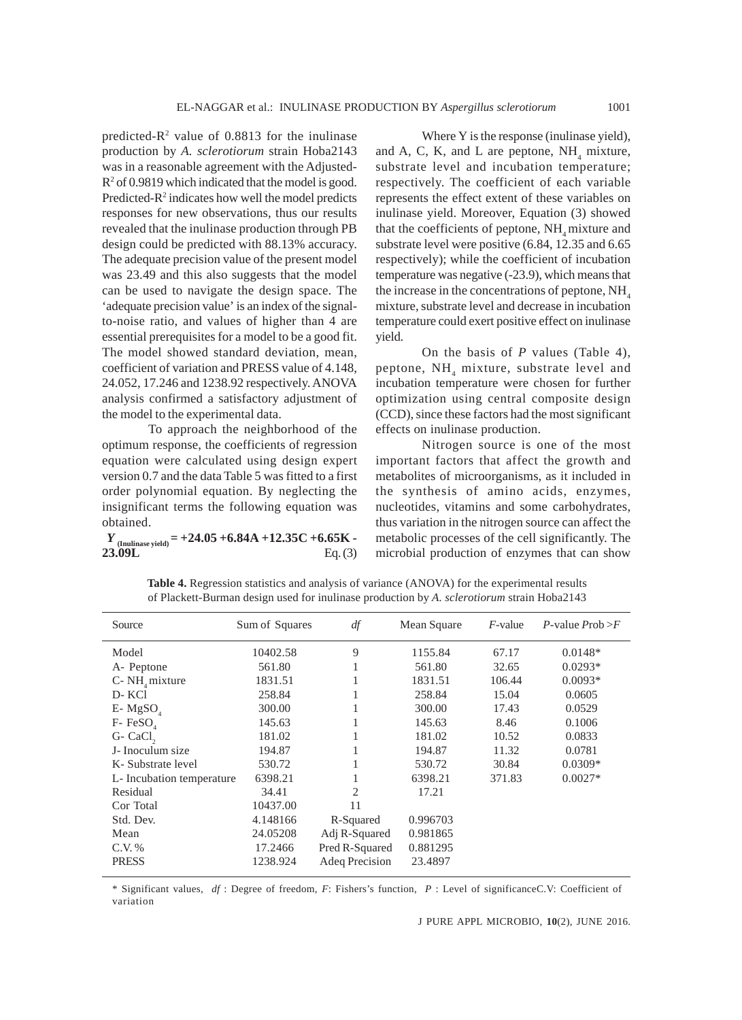predicted- $R^2$  value of 0.8813 for the inulinase production by *A. sclerotiorum* strain Hoba2143 was in a reasonable agreement with the Adjusted-R<sup>2</sup> of 0.9819 which indicated that the model is good. Predicted- $R<sup>2</sup>$  indicates how well the model predicts responses for new observations, thus our results revealed that the inulinase production through PB design could be predicted with 88.13% accuracy. The adequate precision value of the present model was 23.49 and this also suggests that the model can be used to navigate the design space. The 'adequate precision value' is an index of the signalto-noise ratio, and values of higher than 4 are essential prerequisites for a model to be a good fit. The model showed standard deviation, mean, coefficient of variation and PRESS value of 4.148, 24.052, 17.246 and 1238.92 respectively. ANOVA analysis confirmed a satisfactory adjustment of the model to the experimental data.

To approach the neighborhood of the optimum response, the coefficients of regression equation were calculated using design expert version 0.7 and the data Table 5 was fitted to a first order polynomial equation. By neglecting the insignificant terms the following equation was obtained.

*Y* **(Inulinase yield)= +24.05 +6.84A +12.35C +6.65K - 23.09L** Eq. (3)

Where Y is the response (inulinase yield), and A, C, K, and L are peptone,  $NH<sub>4</sub>$  mixture, substrate level and incubation temperature; respectively. The coefficient of each variable represents the effect extent of these variables on inulinase yield. Moreover, Equation (3) showed that the coefficients of peptone,  $NH<sub>4</sub>$  mixture and substrate level were positive (6.84, 12.35 and 6.65 respectively); while the coefficient of incubation temperature was negative (-23.9), which means that the increase in the concentrations of peptone,  $NH<sub>4</sub>$ mixture, substrate level and decrease in incubation temperature could exert positive effect on inulinase yield.

On the basis of *P* values (Table 4), peptone, NH<sub>4</sub> mixture, substrate level and incubation temperature were chosen for further optimization using central composite design (CCD), since these factors had the most significant effects on inulinase production.

Nitrogen source is one of the most important factors that affect the growth and metabolites of microorganisms, as it included in the synthesis of amino acids, enzymes, nucleotides, vitamins and some carbohydrates, thus variation in the nitrogen source can affect the metabolic processes of the cell significantly. The microbial production of enzymes that can show

| <b>Table 4.</b> Regression statistics and analysis of variance (ANOVA) for the experimental results |
|-----------------------------------------------------------------------------------------------------|
| of Plackett-Burman design used for inulinase production by A. sclerotiorum strain Hoba2143          |

| Source                    | Sum of Squares | df             | Mean Square | $F$ -value | <i>P</i> -value <i>Prob</i> $>$ <i>F</i> |
|---------------------------|----------------|----------------|-------------|------------|------------------------------------------|
| Model                     | 10402.58       | 9              | 1155.84     | 67.17      | $0.0148*$                                |
| A- Peptone                | 561.80         | 1              | 561.80      | 32.65      | $0.0293*$                                |
| $C-NH4 mixture$           | 1831.51        |                | 1831.51     | 106.44     | $0.0093*$                                |
| D- KCl                    | 258.84         |                | 258.84      | 15.04      | 0.0605                                   |
| E- $MgSO4$                | 300.00         |                | 300.00      | 17.43      | 0.0529                                   |
| $F-FeSO4$                 | 145.63         |                | 145.63      | 8.46       | 0.1006                                   |
| G- CaCl <sub>2</sub>      | 181.02         |                | 181.02      | 10.52      | 0.0833                                   |
| J-Inoculum size           | 194.87         |                | 194.87      | 11.32      | 0.0781                                   |
| K- Substrate level        | 530.72         |                | 530.72      | 30.84      | $0.0309*$                                |
| L- Incubation temperature | 6398.21        |                | 6398.21     | 371.83     | $0.0027*$                                |
| Residual                  | 34.41          | 2              | 17.21       |            |                                          |
| Cor Total                 | 10437.00       | 11             |             |            |                                          |
| Std. Dev.                 | 4.148166       | R-Squared      | 0.996703    |            |                                          |
| Mean                      | 24.05208       | Adj R-Squared  | 0.981865    |            |                                          |
| C.V. %                    | 17.2466        | Pred R-Squared | 0.881295    |            |                                          |
| <b>PRESS</b>              | 1238.924       | Adeq Precision | 23.4897     |            |                                          |

\* Significant values, *df* : Degree of freedom, *F*: Fishers's function, *P* : Level of significanceC.V: Coefficient of variation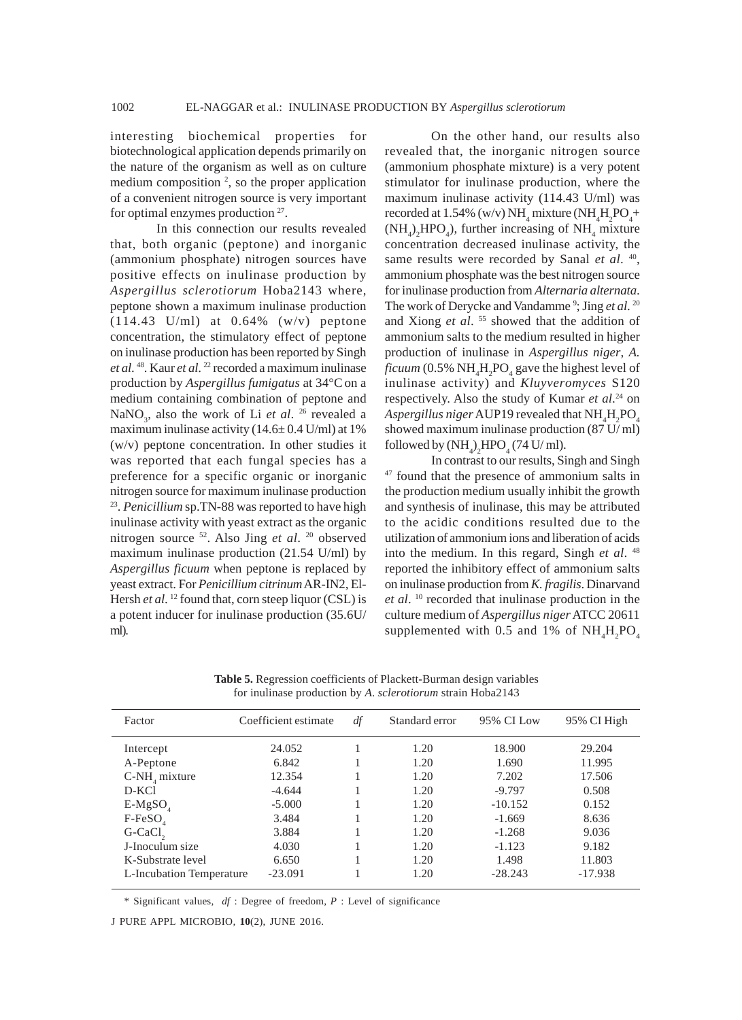interesting biochemical properties for biotechnological application depends primarily on the nature of the organism as well as on culture medium composition  $2$ , so the proper application of a convenient nitrogen source is very important for optimal enzymes production 27.

In this connection our results revealed that, both organic (peptone) and inorganic (ammonium phosphate) nitrogen sources have positive effects on inulinase production by *Aspergillus sclerotiorum* Hoba2143 where, peptone shown a maximum inulinase production  $(114.43 \text{ U/ml})$  at  $0.64\%$  (w/v) peptone concentration, the stimulatory effect of peptone on inulinase production has been reported by Singh *et al*. 48. Kaur *et al*. 22 recorded a maximum inulinase production by *Aspergillus fumigatus* at 34°Con a medium containing combination of peptone and NaNO<sub>3</sub>, also the work of Li *et al*. <sup>26</sup> revealed a maximum inulinase activity  $(14.6 \pm 0.4 \text{ U/ml})$  at 1% (w/v) peptone concentration. In other studies it was reported that each fungal species has a preference for a specific organic or inorganic nitrogen source for maximum inulinase production 23. *Penicillium* sp.TN-88 was reported to have high inulinase activity with yeast extract as the organic nitrogen source 52. Also Jing *et al*. 20 observed maximum inulinase production (21.54 U/ml) by *Aspergillus ficuum* when peptone is replaced by yeast extract. For *Penicillium citrinum* AR-IN2, El-Hersh *et al.* <sup>12</sup> found that, corn steep liquor (CSL) is a potent inducer for inulinase production (35.6U/ ml).

On the other hand, our results also revealed that, the inorganic nitrogen source (ammonium phosphate mixture) is a very potent stimulator for inulinase production, where the maximum inulinase activity (114.43 U/ml) was recorded at 1.54% (w/v)  $NH_4$  mixture (NH<sub>4</sub>H<sub>2</sub>PO<sub>4</sub>+  $(NH_4)_2$ HPO<sub>4</sub>), further increasing of NH<sub>4</sub> mixture concentration decreased inulinase activity, the same results were recorded by Sanal et al.  $40$ , ammonium phosphate was the best nitrogen source for inulinase production from *Alternaria alternata*. The work of Derycke and Vandamme<sup>9</sup>; Jing et al.<sup>20</sup> and Xiong *et al.* <sup>55</sup> showed that the addition of ammonium salts to the medium resulted in higher production of inulinase in *Aspergillus niger*, *A.*  $ficuum (0.5\% NH<sub>4</sub>H<sub>2</sub>PO<sub>4</sub> gave the highest level of$ inulinase activity) and *Kluyveromyces* S120 respectively. Also the study of Kumar *et al*. 24 on  $\emph{Aspergillus niger AUP19 revealed that  $\rm NH_4H_2PO_4$$ showed maximum inulinase production (87 U/ ml) followed by  $(NH_4)_2 HPO_4$  (74 U/ ml).

In contrast to our results, Singh and Singh 47 found that the presence of ammonium salts in the production medium usually inhibit the growth and synthesis of inulinase, this may be attributed to the acidic conditions resulted due to the utilization of ammonium ions and liberation of acids into the medium. In this regard, Singh *et al*. 48 reported the inhibitory effect of ammonium salts on inulinase production from *K. fragilis*. Dinarvand *et al*. 10 recorded that inulinase production in the culture medium of *Aspergillus niger* ATCC 20611 supplemented with 0.5 and 1% of  $NH_4H_2PO_4$ 

**Table 5.** Regression coefficients of Plackett-Burman design variables for inulinase production by *A*. *sclerotiorum* strain Hoba2143

| Factor                   | Coefficient estimate | df | Standard error | 95% CI Low | 95% CI High |
|--------------------------|----------------------|----|----------------|------------|-------------|
| Intercept                | 24.052               |    | 1.20           | 18.900     | 29.204      |
| A-Peptone                | 6.842                |    | 1.20           | 1.690      | 11.995      |
| $C-NHa$ mixture          | 12.354               |    | 1.20           | 7.202      | 17.506      |
| D-KCl                    | $-4.644$             |    | 1.20           | $-9.797$   | 0.508       |
| $E-MgSO4$                | $-5.000$             |    | 1.20           | $-10.152$  | 0.152       |
| $F\text{-FeSO}_4$        | 3.484                |    | 1.20           | $-1.669$   | 8.636       |
| G-CaCl,                  | 3.884                |    | 1.20           | $-1.268$   | 9.036       |
| J-Inoculum size          | 4.030                |    | 1.20           | $-1.123$   | 9.182       |
| K-Substrate level        | 6.650                |    | 1.20           | 1.498      | 11.803      |
| L-Incubation Temperature | $-23.091$            |    | 1.20           | $-28.243$  | $-17.938$   |
|                          |                      |    |                |            |             |

\* Significant values, *df* : Degree of freedom, *P* : Level of significance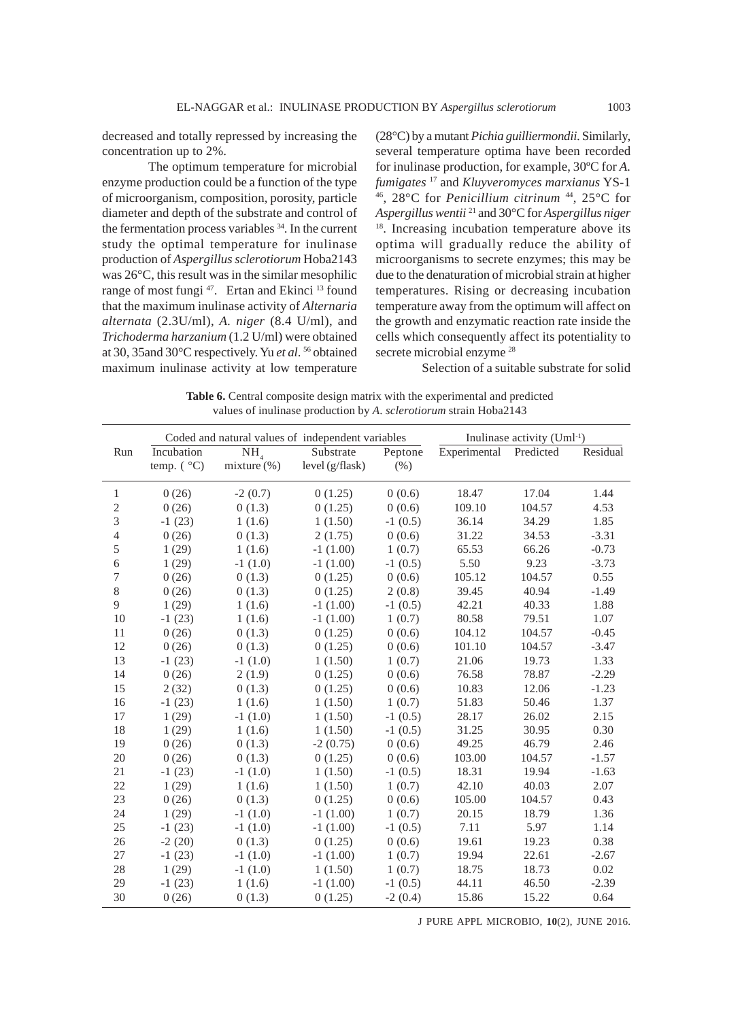decreased and totally repressed by increasing the concentration up to 2%.

The optimum temperature for microbial enzyme production could be a function of the type of microorganism, composition, porosity, particle diameter and depth of the substrate and control of the fermentation process variables 34. In the current study the optimal temperature for inulinase production of *Aspergillus sclerotiorum* Hoba2143 was 26°C, this result was in the similar mesophilic range of most fungi <sup>47</sup>. Ertan and Ekinci <sup>13</sup> found that the maximum inulinase activity of *Alternaria alternata* (2.3U/ml), *A. niger* (8.4 U/ml), and *Trichoderma harzanium* (1.2 U/ml) were obtained at 30, 35and 30°C respectively. Yu *et al*. 56 obtained maximum inulinase activity at low temperature

(28°C) by a mutant *Pichia guilliermondii*. Similarly, several temperature optima have been recorded for inulinase production, for example, 30ºC for *A. fumigates* 17 and *Kluyveromyces marxianus* YS-1 46, 28°C for *Penicillium citrinum* 44, 25°C for *Aspergillus wentii* 21 and 30°C for *Aspergillus niger* <sup>18</sup>. Increasing incubation temperature above its optima will gradually reduce the ability of microorganisms to secrete enzymes; this may be due to the denaturation of microbial strain at higher temperatures. Rising or decreasing incubation temperature away from the optimum will affect on the growth and enzymatic reaction rate inside the cells which consequently affect its potentiality to secrete microbial enzyme<sup>28</sup>

Selection of a suitable substrate for solid

Table 6. Central composite design matrix with the experimental and predicted values of inulinase production by *A*. *sclerotiorum* strain Hoba2143

|                  |                     |                 | Coded and natural values of independent variables |           |              | Inulinase activity (Uml <sup>-1</sup> ) |          |
|------------------|---------------------|-----------------|---------------------------------------------------|-----------|--------------|-----------------------------------------|----------|
| Run              | Incubation          | NH <sub>4</sub> | Substrate                                         | Peptone   | Experimental | Predicted                               | Residual |
|                  | temp. $(^{\circ}C)$ | $mixture (\%)$  | level (g/flask)                                   | (% )      |              |                                         |          |
| $\mathbf{1}$     | 0(26)               | $-2(0.7)$       | 0(1.25)                                           | 0(0.6)    | 18.47        | 17.04                                   | 1.44     |
| $\sqrt{2}$       | 0(26)               | 0(1.3)          | 0(1.25)                                           | 0(0.6)    | 109.10       | 104.57                                  | 4.53     |
| 3                | $-1(23)$            | 1(1.6)          | 1(1.50)                                           | $-1(0.5)$ | 36.14        | 34.29                                   | 1.85     |
| $\overline{4}$   | 0(26)               | 0(1.3)          | 2(1.75)                                           | 0(0.6)    | 31.22        | 34.53                                   | $-3.31$  |
| 5                | 1(29)               | 1(1.6)          | $-1(1.00)$                                        | 1(0.7)    | 65.53        | 66.26                                   | $-0.73$  |
| 6                | 1(29)               | $-1(1.0)$       | $-1(1.00)$                                        | $-1(0.5)$ | 5.50         | 9.23                                    | $-3.73$  |
| $\boldsymbol{7}$ | 0(26)               | 0(1.3)          | 0(1.25)                                           | 0(0.6)    | 105.12       | 104.57                                  | 0.55     |
| 8                | 0(26)               | 0(1.3)          | 0(1.25)                                           | 2(0.8)    | 39.45        | 40.94                                   | $-1.49$  |
| 9                | 1(29)               | 1(1.6)          | $-1(1.00)$                                        | $-1(0.5)$ | 42.21        | 40.33                                   | 1.88     |
| 10               | $-1(23)$            | 1(1.6)          | $-1(1.00)$                                        | 1(0.7)    | 80.58        | 79.51                                   | 1.07     |
| 11               | 0(26)               | 0(1.3)          | 0(1.25)                                           | 0(0.6)    | 104.12       | 104.57                                  | $-0.45$  |
| 12               | 0(26)               | 0(1.3)          | 0(1.25)                                           | 0(0.6)    | 101.10       | 104.57                                  | $-3.47$  |
| 13               | $-1(23)$            | $-1(1.0)$       | 1(1.50)                                           | 1(0.7)    | 21.06        | 19.73                                   | 1.33     |
| 14               | 0(26)               | 2(1.9)          | 0(1.25)                                           | 0(0.6)    | 76.58        | 78.87                                   | $-2.29$  |
| 15               | 2(32)               | 0(1.3)          | 0(1.25)                                           | 0(0.6)    | 10.83        | 12.06                                   | $-1.23$  |
| 16               | $-1(23)$            | 1(1.6)          | 1(1.50)                                           | 1(0.7)    | 51.83        | 50.46                                   | 1.37     |
| 17               | 1(29)               | $-1(1.0)$       | 1(1.50)                                           | $-1(0.5)$ | 28.17        | 26.02                                   | 2.15     |
| 18               | 1(29)               | 1(1.6)          | 1(1.50)                                           | $-1(0.5)$ | 31.25        | 30.95                                   | 0.30     |
| 19               | 0(26)               | 0(1.3)          | $-2(0.75)$                                        | 0(0.6)    | 49.25        | 46.79                                   | 2.46     |
| 20               | 0(26)               | 0(1.3)          | 0(1.25)                                           | 0(0.6)    | 103.00       | 104.57                                  | $-1.57$  |
| $21\,$           | $-1(23)$            | $-1(1.0)$       | 1(1.50)                                           | $-1(0.5)$ | 18.31        | 19.94                                   | $-1.63$  |
| 22               | 1(29)               | 1(1.6)          | 1(1.50)                                           | 1(0.7)    | 42.10        | 40.03                                   | 2.07     |
| 23               | 0(26)               | 0(1.3)          | 0(1.25)                                           | 0(0.6)    | 105.00       | 104.57                                  | 0.43     |
| 24               | 1(29)               | $-1(1.0)$       | $-1(1.00)$                                        | 1(0.7)    | 20.15        | 18.79                                   | 1.36     |
| 25               | $-1(23)$            | $-1(1.0)$       | $-1(1.00)$                                        | $-1(0.5)$ | 7.11         | 5.97                                    | 1.14     |
| 26               | $-2(20)$            | 0(1.3)          | 0(1.25)                                           | 0(0.6)    | 19.61        | 19.23                                   | 0.38     |
| 27               | $-1(23)$            | $-1(1.0)$       | $-1(1.00)$                                        | 1(0.7)    | 19.94        | 22.61                                   | $-2.67$  |
| 28               | 1(29)               | $-1(1.0)$       | 1(1.50)                                           | 1(0.7)    | 18.75        | 18.73                                   | 0.02     |
| 29               | $-1(23)$            | 1(1.6)          | $-1(1.00)$                                        | $-1(0.5)$ | 44.11        | 46.50                                   | $-2.39$  |
| 30               | 0(26)               | 0(1.3)          | 0(1.25)                                           | $-2(0.4)$ | 15.86        | 15.22                                   | 0.64     |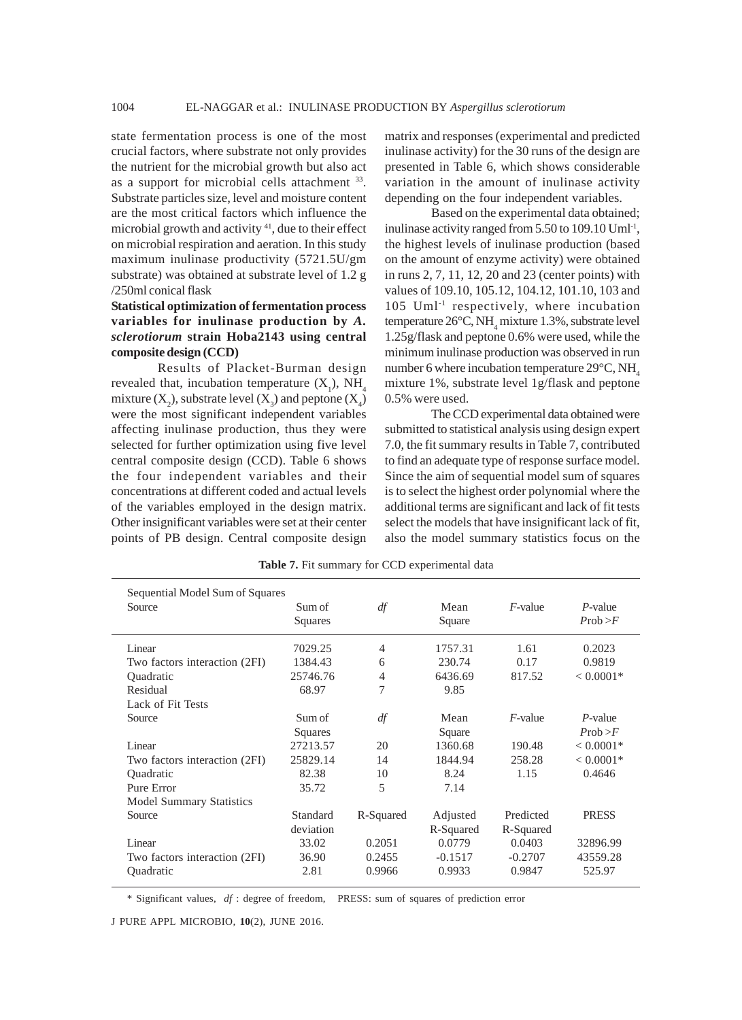state fermentation process is one of the most crucial factors, where substrate not only provides the nutrient for the microbial growth but also act as a support for microbial cells attachment <sup>33</sup>. Substrate particles size, level and moisture content are the most critical factors which influence the microbial growth and activity  $41$ , due to their effect on microbial respiration and aeration. In this study maximum inulinase productivity (5721.5U/gm substrate) was obtained at substrate level of 1.2 g /250ml conical flask

# **Statistical optimization of fermentation process variables for inulinase production by** *A. sclerotiorum* **strain Hoba2143 using central composite design (CCD)**

Results of Placket-Burman design revealed that, incubation temperature  $(X_1)$ , NH<sub>4</sub> mixture  $(X_2)$ , substrate level  $(X_3)$  and peptone  $(X_4)$ were the most significant independent variables affecting inulinase production, thus they were selected for further optimization using five level central composite design (CCD). Table 6 shows the four independent variables and their concentrations at different coded and actual levels of the variables employed in the design matrix. Other insignificant variables were set at their center points of PB design. Central composite design

matrix and responses (experimental and predicted inulinase activity) for the 30 runs of the design are presented in Table 6, which shows considerable variation in the amount of inulinase activity depending on the four independent variables.

Based on the experimental data obtained; inulinase activity ranged from  $5.50$  to  $109.10$  Uml<sup>-1</sup>, the highest levels of inulinase production (based on the amount of enzyme activity) were obtained in runs 2, 7, 11, 12, 20 and 23 (center points) with values of 109.10, 105.12, 104.12, 101.10, 103 and 105 Uml-1 respectively, where incubation temperature 26°C, NH4 mixture 1.3%, substrate level 1.25g/flask and peptone 0.6% were used, while the minimum inulinase production was observed in run number 6 where incubation temperature  $29^{\circ}$ C, NH<sub>4</sub> mixture 1%, substrate level 1g/flask and peptone 0.5% were used.

The CCD experimental data obtained were submitted to statistical analysis using design expert 7.0, the fit summary results in Table 7, contributed to find an adequate type of response surface model. Since the aim of sequential model sum of squares is to select the highest order polynomial where the additional terms are significant and lack of fit tests select the models that have insignificant lack of fit, also the model summary statistics focus on the

| Sequential Model Sum of Squares |           |                |           |            |              |
|---------------------------------|-----------|----------------|-----------|------------|--------------|
| Source                          | Sum of    | df             | Mean      | $F$ -value | $P$ -value   |
|                                 | Squares   |                | Square    |            | Prob > F     |
| Linear                          | 7029.25   | $\overline{4}$ | 1757.31   | 1.61       | 0.2023       |
| Two factors interaction (2FI)   | 1384.43   | 6              | 230.74    | 0.17       | 0.9819       |
| <b>Quadratic</b>                | 25746.76  | $\overline{4}$ | 6436.69   | 817.52     | $< 0.0001*$  |
| Residual                        | 68.97     | 7              | 9.85      |            |              |
| Lack of Fit Tests               |           |                |           |            |              |
| Source                          | Sum of    | df             | Mean      | $F$ -value | $P$ -value   |
|                                 | Squares   |                | Square    |            | Prob > F     |
| Linear                          | 27213.57  | 20             | 1360.68   | 190.48     | $< 0.0001*$  |
| Two factors interaction (2FI)   | 25829.14  | 14             | 1844.94   | 258.28     | $< 0.0001*$  |
| Quadratic                       | 82.38     | 10             | 8.24      | 1.15       | 0.4646       |
| Pure Error                      | 35.72     | 5              | 7.14      |            |              |
| <b>Model Summary Statistics</b> |           |                |           |            |              |
| Source                          | Standard  | R-Squared      | Adjusted  | Predicted  | <b>PRESS</b> |
|                                 | deviation |                | R-Squared | R-Squared  |              |
| Linear                          | 33.02     | 0.2051         | 0.0779    | 0.0403     | 32896.99     |
| Two factors interaction (2FI)   | 36.90     | 0.2455         | $-0.1517$ | $-0.2707$  | 43559.28     |
| <b>Quadratic</b>                | 2.81      | 0.9966         | 0.9933    | 0.9847     | 525.97       |
|                                 |           |                |           |            |              |

**Table 7.** Fit summary for CCD experimental data

\* Significant values, *df* : degree of freedom, PRESS: sum of squares of prediction error

J PURE APPL MICROBIO*,* **10**(2), JUNE 2016.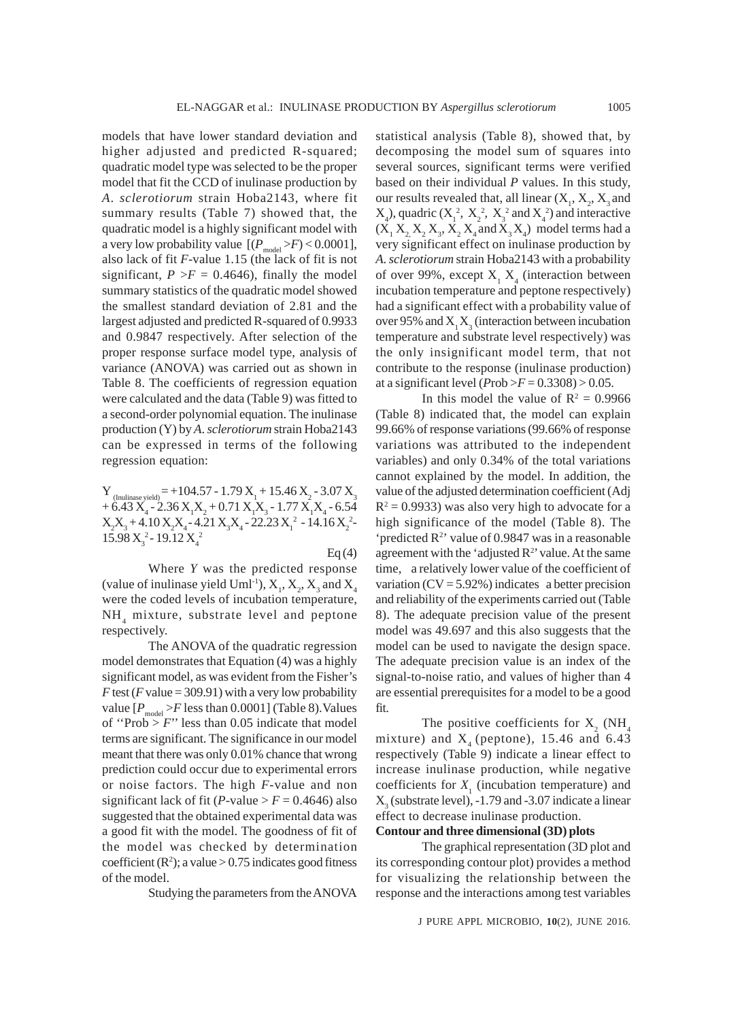models that have lower standard deviation and higher adjusted and predicted R-squared; quadratic model type was selected to be the proper model that fit the CCD of inulinase production by *A*. *sclerotiorum* strain Hoba2143, where fit summary results (Table 7) showed that, the quadratic model is a highly significant model with a very low probability value  $[(P_{model} > F) < 0.0001]$ , also lack of fit *F*-value 1.15 (the lack of fit is not significant,  $P > F = 0.4646$ , finally the model summary statistics of the quadratic model showed the smallest standard deviation of 2.81 and the largest adjusted and predicted R-squared of 0.9933 and 0.9847 respectively. After selection of the proper response surface model type, analysis of variance (ANOVA) was carried out as shown in Table 8. The coefficients of regression equation were calculated and the data (Table 9) was fitted to a second-order polynomial equation. The inulinase production (Y) by *A*. *sclerotiorum* strain Hoba2143 can be expressed in terms of the following regression equation:

 $Y_{(Inulinase yield)} = +104.57 - 1.79 X_1 + 15.46 X_2 - 3.07 X_3$ + 6.43  $\text{X}_4$  - 2.36  $\text{X}_1\text{X}_2$  + 0.71  $\text{X}_1\text{X}_3$  - 1.77  $\text{X}_1\text{X}_4$  - 6.54  $X_2X_3 + 4.10X_2X_4 - 4.21X_3X_4 - 22.23X_1^2 - 14.16X_2^2 15.98 X_3^2 - 19.12 X_4^2$ 

 $Eq(4)$ 

Where *Y* was the predicted response (value of inulinase yield  $Uml^{-1}$ ),  $X_1, X_2, X_3$  and  $X_4$ were the coded levels of incubation temperature, NH4 mixture, substrate level and peptone respectively.

The ANOVA of the quadratic regression model demonstrates that Equation (4) was a highly significant model, as was evident from the Fisher's *F* test (*F* value = 309.91) with a very low probability value  $[P_{\text{model}} > F$  less than 0.0001] (Table 8). Values of "Prob  $> F$ " less than 0.05 indicate that model terms are significant. The significance in our model meant that there was only 0.01% chance that wrong prediction could occur due to experimental errors or noise factors. The high *F*-value and non significant lack of fit (*P*-value >  $F = 0.4646$ ) also suggested that the obtained experimental data was a good fit with the model. The goodness of fit of the model was checked by determination coefficient  $(R^2)$ ; a value > 0.75 indicates good fitness of the model.

Studying the parameters from the ANOVA

statistical analysis (Table 8), showed that, by decomposing the model sum of squares into several sources, significant terms were verified based on their individual *P* values. In this study, our results revealed that, all linear  $(X_1, X_2, X_3)$  and  $X_4$ ), quadric  $(X_1^2, X_2^2, X_3^2 \text{ and } X_4^2)$  and interactive  $(X_1 X_2 X_2 X_3, X_2 X_4 \text{ and } X_3 X_4)$  model terms had a very significant effect on inulinase production by *A*. *sclerotiorum* strain Hoba2143 with a probability of over 99%, except  $X_1 X_4$  (interaction between incubation temperature and peptone respectively) had a significant effect with a probability value of over 95% and  $X_1 X_3$  (interaction between incubation temperature and substrate level respectively) was the only insignificant model term, that not contribute to the response (inulinase production) at a significant level  $(Prob > F = 0.3308) > 0.05$ .

In this model the value of  $R^2 = 0.9966$ (Table 8) indicated that, the model can explain 99.66% of response variations (99.66% of response variations was attributed to the independent variables) and only 0.34% of the total variations cannot explained by the model. In addition, the value of the adjusted determination coefficient (Adj  $R^2 = 0.9933$ ) was also very high to advocate for a high significance of the model (Table 8). The 'predicted  $R^2$ ' value of 0.9847 was in a reasonable agreement with the 'adjusted  $R^2$ ' value. At the same time, a relatively lower value of the coefficient of variation  $(CV = 5.92\%)$  indicates a better precision and reliability of the experiments carried out (Table 8). The adequate precision value of the present model was 49.697 and this also suggests that the model can be used to navigate the design space. The adequate precision value is an index of the signal-to-noise ratio, and values of higher than 4 are essential prerequisites for a model to be a good fit.

The positive coefficients for  $X_2$  (NH<sub>4</sub> mixture) and  $X_4$  (peptone), 15.46 and 6.43 respectively (Table 9) indicate a linear effect to increase inulinase production, while negative coefficients for  $X_1$  (incubation temperature) and  $X<sub>3</sub>$  (substrate level), -1.79 and -3.07 indicate a linear effect to decrease inulinase production.

### **Contour and three dimensional (3D) plots**

The graphical representation (3D plot and its corresponding contour plot) provides a method for visualizing the relationship between the response and the interactions among test variables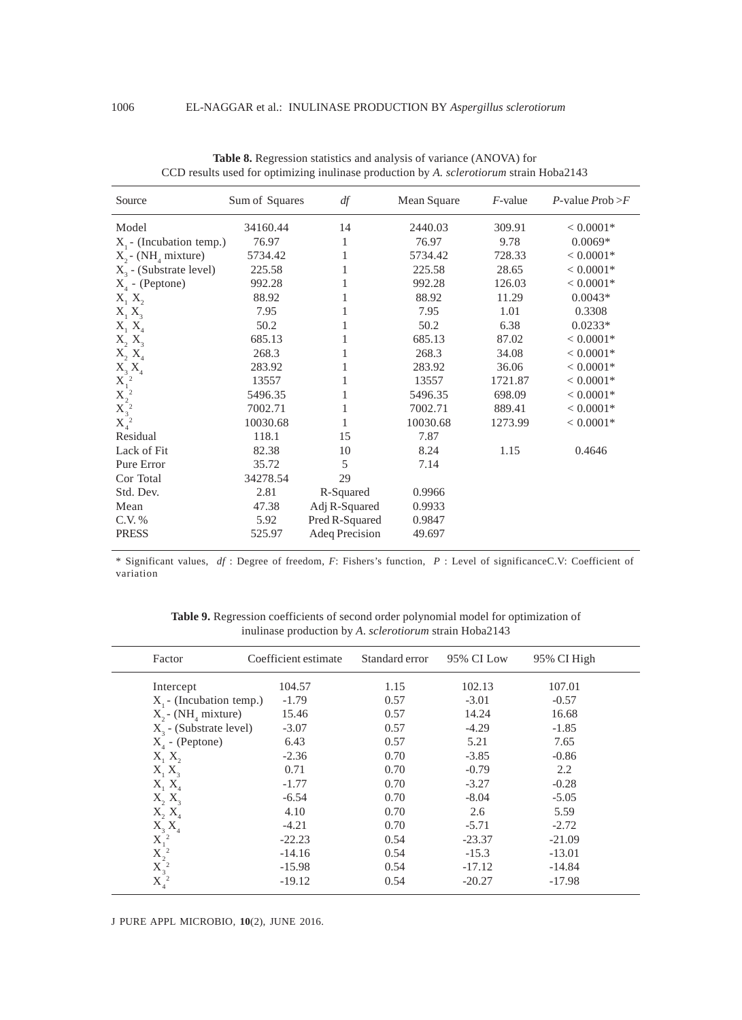| Source                                         | Sum of Squares | df             | Mean Square | $F$ -value | P-value $Prob > F$ |
|------------------------------------------------|----------------|----------------|-------------|------------|--------------------|
| Model                                          | 34160.44       | 14             | 2440.03     | 309.91     | $< 0.0001*$        |
| $X_i$ - (Incubation temp.)                     | 76.97          | 1              | 76.97       | 9.78       | $0.0069*$          |
| $X_2$ - (NH <sub>4</sub> mixture)              | 5734.42        | 1              | 5734.42     | 728.33     | $< 0.0001*$        |
| $X_3$ - (Substrate level)                      | 225.58         | 1              | 225.58      | 28.65      | $< 0.0001*$        |
| $X_4$ - (Peptone)                              | 992.28         |                | 992.28      | 126.03     | $< 0.0001*$        |
| $X_1 X_2$                                      | 88.92          | 1              | 88.92       | 11.29      | $0.0043*$          |
| $X_1 X_3$                                      | 7.95           | 1              | 7.95        | 1.01       | 0.3308             |
| $X_1 X_4$                                      | 50.2           |                | 50.2        | 6.38       | $0.0233*$          |
| $X_2 X_3$                                      | 685.13         | 1              | 685.13      | 87.02      | $< 0.0001*$        |
| $X_2$ $X_4$                                    | 268.3          |                | 268.3       | 34.08      | $< 0.0001*$        |
| $X_3^2 X_4^3$<br>$X_1^2$<br>$X_2^2$<br>$X_3^2$ | 283.92         |                | 283.92      | 36.06      | $< 0.0001*$        |
|                                                | 13557          |                | 13557       | 1721.87    | $< 0.0001*$        |
|                                                | 5496.35        | 1              | 5496.35     | 698.09     | $< 0.0001*$        |
|                                                | 7002.71        |                | 7002.71     | 889.41     | $< 0.0001*$        |
| $X_4^2$                                        | 10030.68       | 1              | 10030.68    | 1273.99    | $< 0.0001*$        |
| Residual                                       | 118.1          | 15             | 7.87        |            |                    |
| Lack of Fit                                    | 82.38          | 10             | 8.24        | 1.15       | 0.4646             |
| Pure Error                                     | 35.72          | 5              | 7.14        |            |                    |
| Cor Total                                      | 34278.54       | 29             |             |            |                    |
| Std. Dev.                                      | 2.81           | R-Squared      | 0.9966      |            |                    |
| Mean                                           | 47.38          | Adj R-Squared  | 0.9933      |            |                    |
| C.V. %                                         | 5.92           | Pred R-Squared | 0.9847      |            |                    |
| <b>PRESS</b>                                   | 525.97         | Adeq Precision | 49.697      |            |                    |

| <b>Table 8.</b> Regression statistics and analysis of variance (ANOVA) for                     |
|------------------------------------------------------------------------------------------------|
| CCD results used for optimizing inulinase production by A. <i>sclerotiorum</i> strain Hoba2143 |

\* Significant values, *df* : Degree of freedom, *F*: Fishers's function, *P* : Level of significanceC.V: Coefficient of variation

**Table 9.** Regression coefficients of second order polynomial model for optimization of inulinase production by *A*. *sclerotiorum* strain Hoba2143

| Factor                                                   | Coefficient estimate | Standard error | 95% CI Low | 95% CI High |
|----------------------------------------------------------|----------------------|----------------|------------|-------------|
| Intercept                                                | 104.57               | 1.15           | 102.13     | 107.01      |
| $X_1$ - (Incubation temp.)                               | $-1.79$              | 0.57           | $-3.01$    | $-0.57$     |
| $X_{2}$ - (NH <sub>4</sub> mixture)                      | 15.46                | 0.57           | 14.24      | 16.68       |
| $X_3$ - (Substrate level)                                | $-3.07$              | 0.57           | $-4.29$    | $-1.85$     |
| $X_4$ - (Peptone)                                        | 6.43                 | 0.57           | 5.21       | 7.65        |
| $X_1 X_2$                                                | $-2.36$              | 0.70           | $-3.85$    | $-0.86$     |
| $X_1 X_3$                                                | 0.71                 | 0.70           | $-0.79$    | 2.2         |
| $X_1 X_4$                                                | $-1.77$              | 0.70           | $-3.27$    | $-0.28$     |
| X, X,                                                    | $-6.54$              | 0.70           | $-8.04$    | $-5.05$     |
| $X, X_4$                                                 | 4.10                 | 0.70           | 2.6        | 5.59        |
|                                                          | $-4.21$              | 0.70           | $-5.71$    | $-2.72$     |
|                                                          | $-22.23$             | 0.54           | $-23.37$   | $-21.09$    |
|                                                          | $-14.16$             | 0.54           | $-15.3$    | $-13.01$    |
|                                                          | $-15.98$             | 0.54           | $-17.12$   | $-14.84$    |
| $X_3^2X_4^3$<br>$X_1^2$<br>$X_2^2$<br>$X_3^2$<br>$X_4^2$ | $-19.12$             | 0.54           | $-20.27$   | $-17.98$    |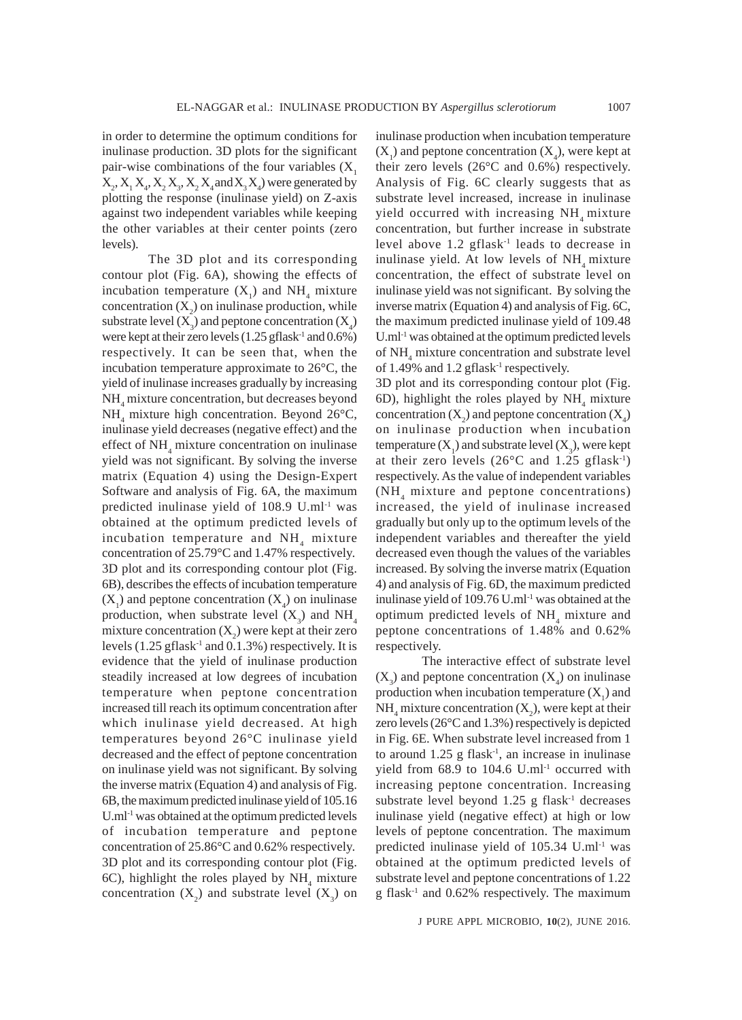in order to determine the optimum conditions for inulinase production. 3D plots for the significant pair-wise combinations of the four variables  $(X_1)$  $X_2, X_1 X_4, X_2 X_3, X_2 X_4$  and  $X_3 X_4$ ) were generated by plotting the response (inulinase yield) on Z-axis against two independent variables while keeping the other variables at their center points (zero levels).

The 3D plot and its corresponding contour plot (Fig. 6A), showing the effects of incubation temperature  $(X_1)$  and  $NH_4$  mixture concentration  $(X_2)$  on inulinase production, while substrate level  $(X_3)$  and peptone concentration  $(X_4)$ were kept at their zero levels  $(1.25 \text{ gflask}^{-1} \text{ and } 0.6\%)$ respectively. It can be seen that, when the incubation temperature approximate to 26°C, the yield of inulinase increases gradually by increasing NH4 mixture concentration, but decreases beyond  $NH<sub>4</sub>$  mixture high concentration. Beyond 26°C, inulinase yield decreases (negative effect) and the effect of NH<sub>4</sub> mixture concentration on inulinase yield was not significant. By solving the inverse matrix (Equation 4) using the Design-Expert Software and analysis of Fig. 6A, the maximum predicted inulinase yield of 108.9 U.ml-1 was obtained at the optimum predicted levels of incubation temperature and  $NH<sub>4</sub>$  mixture concentration of 25.79°C and 1.47% respectively. 3D plot and its corresponding contour plot (Fig. 6B), describes the effects of incubation temperature  $(X_1)$  and peptone concentration  $(X_4)$  on inulinase production, when substrate level  $(X_3)$  and  $NH_4$ mixture concentration  $(X_2)$  were kept at their zero levels  $(1.25 \text{ gflask}^{-1} \text{ and } 0.1.3\%)$  respectively. It is evidence that the yield of inulinase production steadily increased at low degrees of incubation temperature when peptone concentration increased till reach its optimum concentration after which inulinase yield decreased. At high temperatures beyond 26°C inulinase yield decreased and the effect of peptone concentration on inulinase yield was not significant. By solving the inverse matrix (Equation 4) and analysis of Fig. 6B, the maximum predicted inulinase yield of 105.16 U.ml-1 was obtained at the optimum predicted levels of incubation temperature and peptone concentration of 25.86°C and 0.62% respectively. 3D plot and its corresponding contour plot (Fig. 6C), highlight the roles played by  $NH<sub>4</sub>$  mixture concentration  $(X_2)$  and substrate level  $(X_3)$  on

inulinase production when incubation temperature  $(X_1)$  and peptone concentration  $(X_4)$ , were kept at their zero levels (26°C and 0.6%) respectively. Analysis of Fig. 6C clearly suggests that as substrate level increased, increase in inulinase yield occurred with increasing NH<sub>4</sub> mixture concentration, but further increase in substrate level above 1.2 gflask-1 leads to decrease in inulinase yield. At low levels of  $NH<sub>4</sub>$  mixture concentration, the effect of substrate level on inulinase yield was not significant. By solving the inverse matrix (Equation 4) and analysis of Fig. 6C, the maximum predicted inulinase yield of 109.48 U.ml-1 was obtained at the optimum predicted levels of NH<sub>4</sub> mixture concentration and substrate level of 1.49% and 1.2 gflask<sup>-1</sup> respectively.

3D plot and its corresponding contour plot (Fig. 6D), highlight the roles played by  $NH<sub>4</sub>$  mixture concentration  $(X_2)$  and peptone concentration  $(X_4)$ on inulinase production when incubation temperature  $(X_1)$  and substrate level  $(X_3)$ , were kept at their zero levels  $(26^{\circ}$ C and  $1.25$  gflask<sup>-1</sup>) respectively. As the value of independent variables  $(NH<sub>4</sub>$  mixture and peptone concentrations) increased, the yield of inulinase increased gradually but only up to the optimum levels of the independent variables and thereafter the yield decreased even though the values of the variables increased. By solving the inverse matrix (Equation 4) and analysis of Fig. 6D, the maximum predicted inulinase yield of 109.76 U.ml-1 was obtained at the optimum predicted levels of  $NH<sub>4</sub>$  mixture and peptone concentrations of 1.48% and 0.62% respectively.

The interactive effect of substrate level  $(X_3)$  and peptone concentration  $(X_4)$  on inulinase production when incubation temperature  $(X_1)$  and  $NH<sub>4</sub>$  mixture concentration (X<sub>2</sub>), were kept at their zero levels (26°C and 1.3%) respectively is depicted in Fig. 6E. When substrate level increased from 1 to around  $1.25$  g flask<sup>-1</sup>, an increase in inulinase yield from 68.9 to 104.6 U.ml<sup>-1</sup> occurred with increasing peptone concentration. Increasing substrate level beyond  $1.25$  g flask<sup>-1</sup> decreases inulinase yield (negative effect) at high or low levels of peptone concentration. The maximum predicted inulinase yield of  $105.34$  U.ml<sup>-1</sup> was obtained at the optimum predicted levels of substrate level and peptone concentrations of 1.22 g flask-1 and 0.62% respectively. The maximum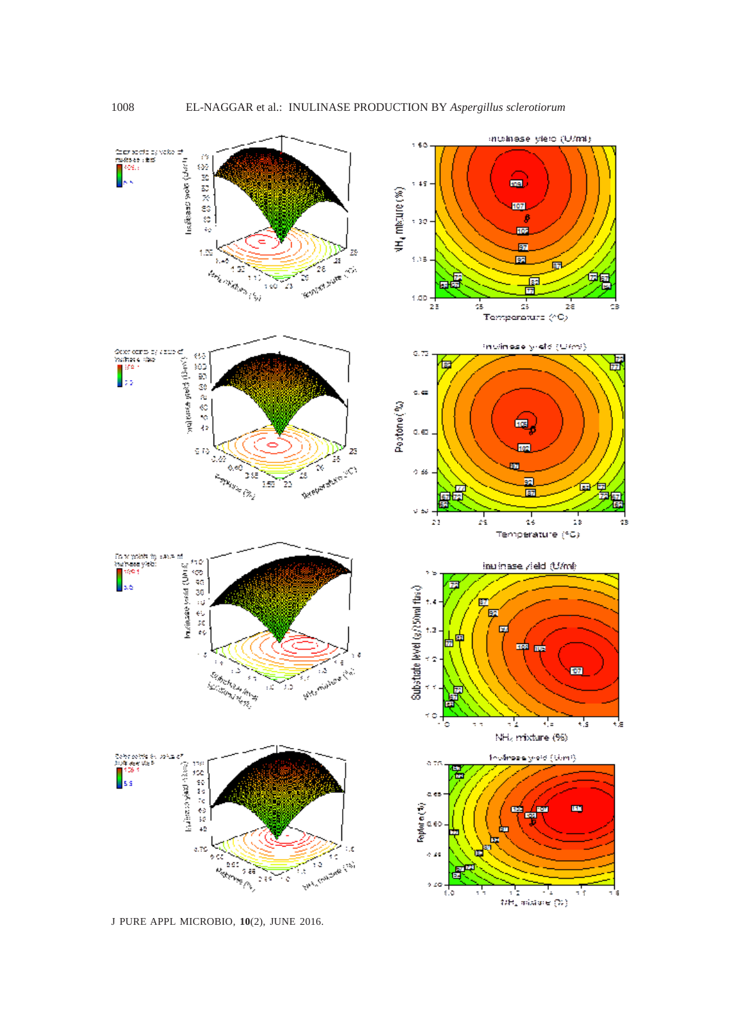

J PURE APPL MICROBIO*,* **10**(2), JUNE 2016.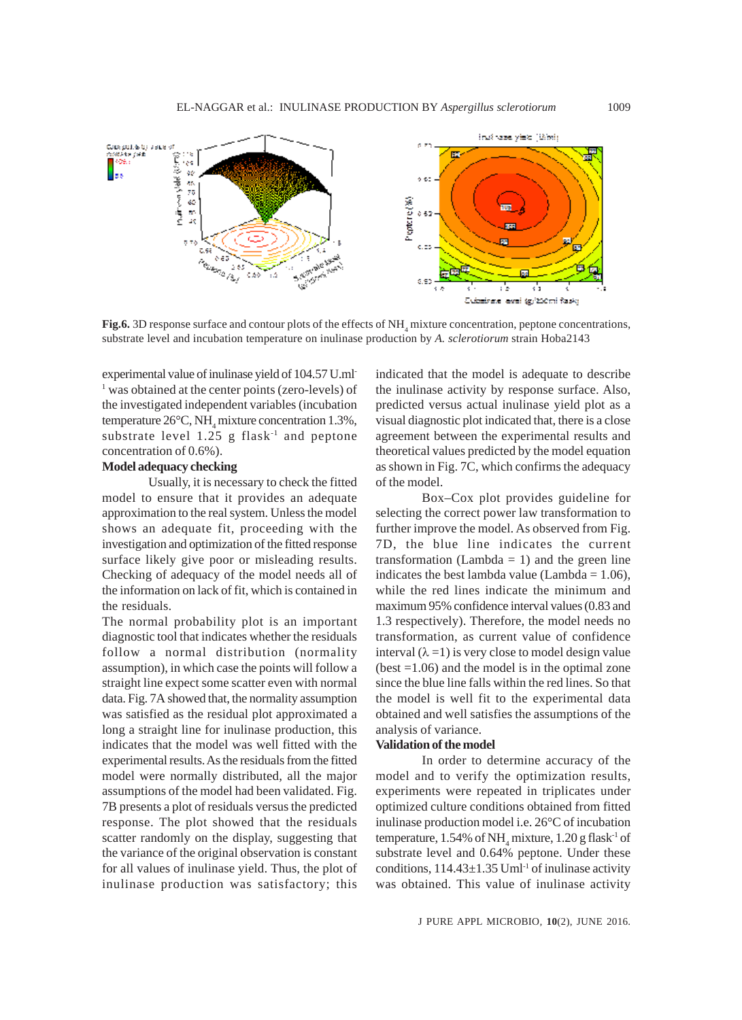

Fig.6. 3D response surface and contour plots of the effects of NH<sub>4</sub> mixture concentration, peptone concentrations, substrate level and incubation temperature on inulinase production by *A. sclerotiorum* strain Hoba2143

experimental value of inulinase yield of 104.57 U.ml-<sup>1</sup> was obtained at the center points (zero-levels) of the investigated independent variables (incubation temperature  $26^{\circ}$ C, NH<sub>4</sub> mixture concentration 1.3%, substrate level  $1.25$  g flask<sup>-1</sup> and peptone concentration of 0.6%).

# **Model adequacy checking**

Usually, it is necessary to check the fitted model to ensure that it provides an adequate approximation to the real system. Unless the model shows an adequate fit, proceeding with the investigation and optimization of the fitted response surface likely give poor or misleading results. Checking of adequacy of the model needs all of the information on lack of fit, which is contained in the residuals.

The normal probability plot is an important diagnostic tool that indicates whether the residuals follow a normal distribution (normality assumption), in which case the points will follow a straight line expect some scatter even with normal data. Fig. 7A showed that, the normality assumption was satisfied as the residual plot approximated a long a straight line for inulinase production, this indicates that the model was well fitted with the experimental results. As the residuals from the fitted model were normally distributed, all the major assumptions of the model had been validated. Fig. 7B presents a plot of residuals versus the predicted response. The plot showed that the residuals scatter randomly on the display, suggesting that the variance of the original observation is constant for all values of inulinase yield. Thus, the plot of inulinase production was satisfactory; this

indicated that the model is adequate to describe the inulinase activity by response surface. Also, predicted versus actual inulinase yield plot as a visual diagnostic plot indicated that, there is a close agreement between the experimental results and theoretical values predicted by the model equation as shown in Fig. 7C, which confirms the adequacy of the model.

Box–Cox plot provides guideline for selecting the correct power law transformation to further improve the model. As observed from Fig. 7D, the blue line indicates the current transformation (Lambda  $= 1$ ) and the green line indicates the best lambda value (Lambda =  $1.06$ ), while the red lines indicate the minimum and maximum 95% confidence interval values (0.83 and 1.3 respectively). Therefore, the model needs no transformation, as current value of confidence interval  $(\lambda = 1)$  is very close to model design value  $(best = 1.06)$  and the model is in the optimal zone since the blue line falls within the red lines. So that the model is well fit to the experimental data obtained and well satisfies the assumptions of the analysis of variance.

# **Validation of the model**

In order to determine accuracy of the model and to verify the optimization results, experiments were repeated in triplicates under optimized culture conditions obtained from fitted inulinase production model i.e. 26°C of incubation temperature,  $1.54\%$  of NH<sub>4</sub> mixture,  $1.20$  g flask<sup>-1</sup> of substrate level and 0.64% peptone. Under these conditions,  $114.43 \pm 1.35$  Uml<sup>-1</sup> of inulinase activity was obtained. This value of inulinase activity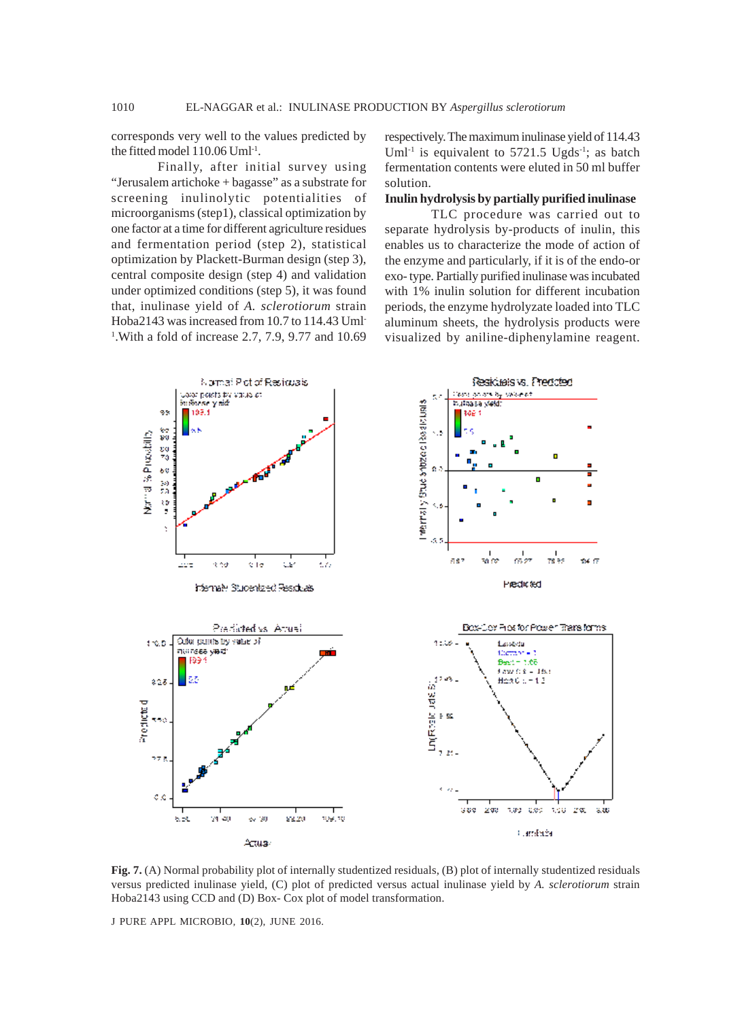corresponds very well to the values predicted by the fitted model 110.06 Uml-1.

Finally, after initial survey using "Jerusalem artichoke + bagasse" as a substrate for screening inulinolytic potentialities of microorganisms (step1), classical optimization by one factor at a time for different agriculture residues and fermentation period (step 2), statistical optimization by Plackett-Burman design (step 3), central composite design (step 4) and validation under optimized conditions (step 5), it was found that, inulinase yield of *A. sclerotiorum* strain Hoba2143 was increased from 10.7 to 114.43 Uml-<sup>1</sup>. With a fold of increase 2.7, 7.9, 9.77 and 10.69

respectively. The maximum inulinase yield of 114.43 Uml<sup>-1</sup> is equivalent to  $5721.5$  Ugds<sup>-1</sup>; as batch fermentation contents were eluted in 50 ml buffer solution.

# **Inulin hydrolysis by partially purified inulinase**

TLC procedure was carried out to separate hydrolysis by-products of inulin, this enables us to characterize the mode of action of the enzyme and particularly, if it is of the endo-or exo- type. Partially purified inulinase was incubated with 1% inulin solution for different incubation periods, the enzyme hydrolyzate loaded into TLC aluminum sheets, the hydrolysis products were visualized by aniline-diphenylamine reagent.



**Fig. 7.** (A) Normal probability plot of internally studentized residuals, (B) plot of internally studentized residuals versus predicted inulinase yield, (C) plot of predicted versus actual inulinase yield by *A. sclerotiorum* strain Hoba2143 using CCD and (D) Box- Cox plot of model transformation.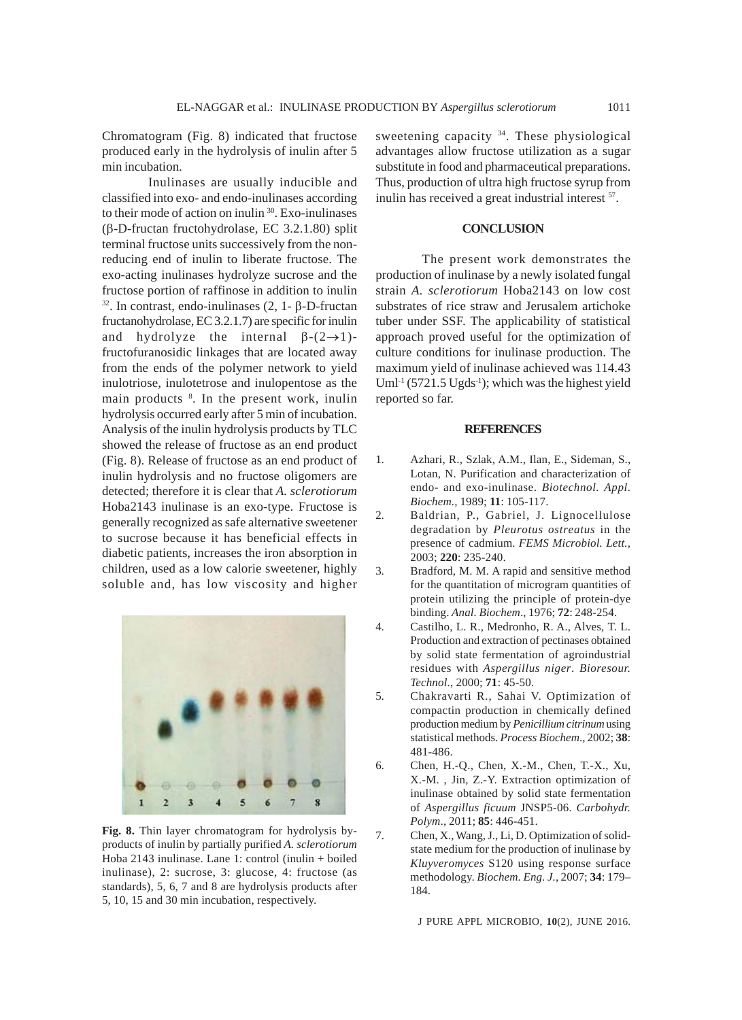Chromatogram (Fig. 8) indicated that fructose produced early in the hydrolysis of inulin after 5 min incubation.

Inulinases are usually inducible and classified into exo- and endo-inulinases according to their mode of action on inulin <sup>30</sup>. Exo-inulinases (β-D-fructan fructohydrolase, EC 3.2.1.80) split terminal fructose units successively from the nonreducing end of inulin to liberate fructose. The exo-acting inulinases hydrolyze sucrose and the fructose portion of raffinose in addition to inulin  $32$ . In contrast, endo-inulinases (2, 1 - β - D-fructan fructanohydrolase, EC 3.2.1.7) are specific for inulin and hydrolyze the internal  $\beta$ - $(2\rightarrow 1)$ fructofuranosidic linkages that are located away from the ends of the polymer network to yield inulotriose, inulotetrose and inulopentose as the main products <sup>8</sup>. In the present work, inulin hydrolysis occurred early after 5 min of incubation. Analysis of the inulin hydrolysis products by TLC showed the release of fructose as an end product (Fig. 8). Release of fructose as an end product of inulin hydrolysis and no fructose oligomers are detected; therefore it is clear that *A. sclerotiorum* Hoba2143 inulinase is an exo-type. Fructose is generally recognized as safe alternative sweetener to sucrose because it has beneficial effects in diabetic patients, increases the iron absorption in children, used as a low calorie sweetener, highly soluble and, has low viscosity and higher



**Fig. 8.** Thin layer chromatogram for hydrolysis byproducts of inulin by partially purified *A. sclerotiorum* Hoba 2143 inulinase. Lane 1: control (inulin + boiled inulinase), 2: sucrose, 3: glucose, 4: fructose (as standards), 5, 6, 7 and 8 are hydrolysis products after 5, 10, 15 and 30 min incubation, respectively.

sweetening capacity <sup>34</sup>. These physiological advantages allow fructose utilization as a sugar substitute in food and pharmaceutical preparations. Thus, production of ultra high fructose syrup from inulin has received a great industrial interest <sup>57</sup>.

# **CONCLUSION**

The present work demonstrates the production of inulinase by a newly isolated fungal strain *A. sclerotiorum* Hoba2143 on low cost substrates of rice straw and Jerusalem artichoke tuber under SSF. The applicability of statistical approach proved useful for the optimization of culture conditions for inulinase production. The maximum yield of inulinase achieved was 114.43  $Uml<sup>-1</sup>$  (5721.5 Ugds<sup>-1</sup>); which was the highest yield reported so far.

#### **REFERENCES**

- 1. Azhari, R., Szlak, A.M., Ilan, E., Sideman, S., Lotan, N. Purification and characterization of endo- and exo-inulinase. *Biotechnol. Appl. Biochem.,* 1989; **11**: 105-117.
- 2. Baldrian, P., Gabriel, J. Lignocellulose degradation by *Pleurotus ostreatus* in the presence of cadmium. *FEMS Microbiol. Lett.,* 2003; **220**: 235-240.
- 3. Bradford, M. M. A rapid and sensitive method for the quantitation of microgram quantities of protein utilizing the principle of protein-dye binding. *Anal. Biochem*., 1976; **72**: 248-254.
- 4. Castilho, L. R., Medronho, R. A., Alves, T. L. Production and extraction of pectinases obtained by solid state fermentation of agroindustrial residues with *Aspergillus niger*. *Bioresour. Technol*., 2000; **71**: 45-50.
- 5. Chakravarti R., Sahai V. Optimization of compactin production in chemically defined production medium by *Penicillium citrinum* using statistical methods. *Process Biochem*., 2002; **38**: 481-486.
- 6. Chen, H.-Q., Chen, X.-M., Chen, T.-X., Xu, X.-M. , Jin, Z.-Y. Extraction optimization of inulinase obtained by solid state fermentation of *Aspergillus ficuum* JNSP5-06. *Carbohydr. Polym*., 2011; **85**: 446-451.
- 7. Chen, X., Wang, J., Li, D. Optimization of solidstate medium for the production of inulinase by *Kluyveromyces* S120 using response surface methodology. *Biochem. Eng. J.*, 2007; **34**: 179– 184.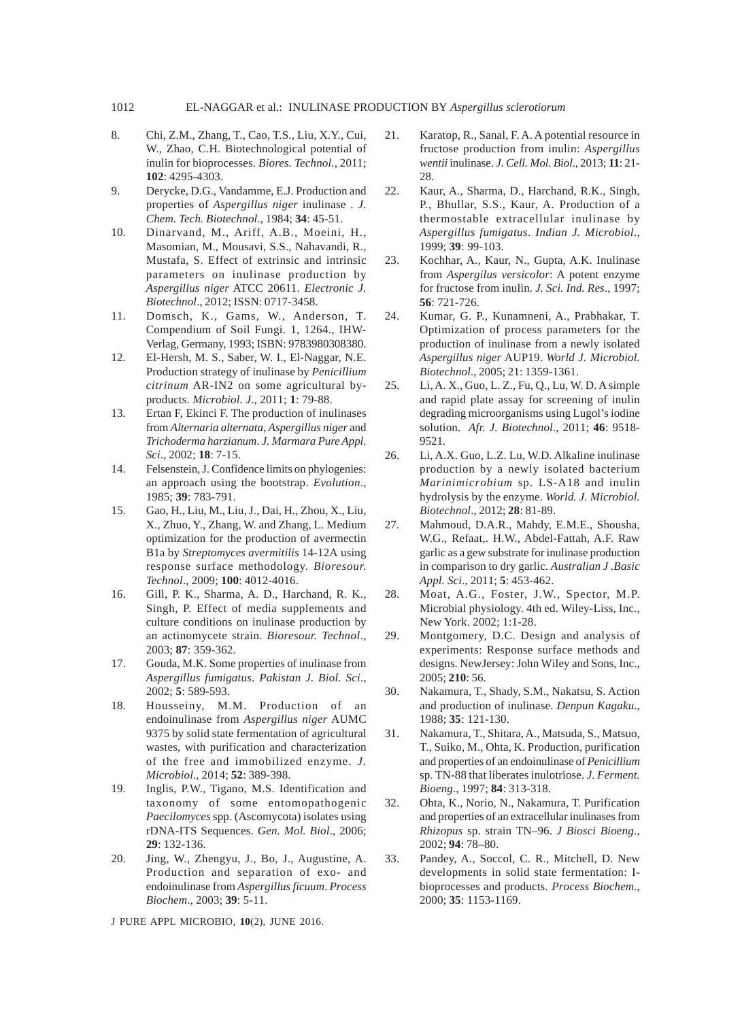- 8. Chi, Z.M., Zhang, T., Cao, T.S., Liu, X.Y., Cui, W., Zhao, C.H. Biotechnological potential of inulin for bioprocesses. *Biores. Technol.,* 2011; **102**: 4295-4303.
- 9. Derycke, D.G., Vandamme, E.J. Production and properties of *Aspergillus niger* inulinase . *J. Chem. Tech. Biotechnol*., 1984; **34**: 45-51.
- 10. Dinarvand, M., Ariff, A.B., Moeini, H., Masomian, M., Mousavi, S.S., Nahavandi, R., Mustafa, S. Effect of extrinsic and intrinsic parameters on inulinase production by *Aspergillus niger* ATCC 20611. *Electronic J. Biotechnol*., 2012; ISSN: 0717-3458.
- 11. Domsch, K., Gams, W., Anderson, T. Compendium of Soil Fungi. 1, 1264., IHW-Verlag, Germany, 1993; ISBN: 9783980308380.
- 12. El-Hersh, M. S., Saber, W. I., El-Naggar, N.E. Production strategy of inulinase by *Penicillium citrinum* AR-IN2 on some agricultural byproducts. *Microbiol. J*., 2011; **1**: 79-88.
- 13. Ertan F, Ekinci F. The production of inulinases from *Alternaria alternata*, *Aspergillus niger* and *Trichoderma harzianum*. *J. Marmara Pure Appl. Sci*., 2002; **18**: 7-15.
- 14. Felsenstein, J. Confidence limits on phylogenies: an approach using the bootstrap. *Evolution*., 1985; **39**: 783-791.
- 15. Gao, H., Liu, M., Liu, J., Dai, H., Zhou, X., Liu, X., Zhuo, Y., Zhang, W. and Zhang, L. Medium optimization for the production of avermectin B1a by *Streptomyces avermitilis* 14-12A using response surface methodology. *Bioresour. Technol*., 2009; **100**: 4012-4016.
- 16. Gill, P. K., Sharma, A. D., Harchand, R. K., Singh, P. Effect of media supplements and culture conditions on inulinase production by an actinomycete strain. *Bioresour. Technol*., 2003; **87**: 359-362.
- 17. Gouda, M.K. Some properties of inulinase from *Aspergillus fumigatus*. *Pakistan J. Biol. Sci*., 2002; **5**: 589-593.
- 18. Housseiny, M.M. Production of an endoinulinase from *Aspergillus niger* AUMC 9375 by solid state fermentation of agricultural wastes, with purification and characterization of the free and immobilized enzyme. *J. Microbiol*., 2014; **52**: 389-398.
- 19. Inglis, P.W., Tigano, M.S. Identification and taxonomy of some entomopathogenic *Paecilomyces* spp. (Ascomycota) isolates using rDNA-ITS Sequences. *Gen. Mol. Biol*., 2006; **29**: 132-136.
- 20. Jing, W., Zhengyu, J., Bo, J., Augustine, A. Production and separation of exo- and endoinulinase from *Aspergillus ficuum*. *Process Biochem*., 2003; **39**: 5-11.

- 21. Karatop, R., Sanal, F. A. A potential resource in fructose production from inulin: *Aspergillus wentii* inulinase. *J. Cell. Mol. Biol*., 2013; **11**: 21- 28.
- 22. Kaur, A., Sharma, D., Harchand, R.K., Singh, P., Bhullar, S.S., Kaur, A. Production of a thermostable extracellular inulinase by *Aspergillus fumigatus*. *Indian J. Microbiol*., 1999; **39**: 99-103.
- 23. Kochhar, A., Kaur, N., Gupta, A.K. Inulinase from *Aspergilus versicolor*: A potent enzyme for fructose from inulin. *J. Sci. Ind. Res*., 1997; **56**: 721-726.
- 24. Kumar, G. P., Kunamneni, A., Prabhakar, T. Optimization of process parameters for the production of inulinase from a newly isolated *Aspergillus niger* AUP19. *World J. Microbiol. Biotechnol*., 2005; 21: 1359-1361.
- 25. Li, A. X., Guo, L. Z., Fu, Q., Lu, W. D. A simple and rapid plate assay for screening of inulin degrading microorganisms using Lugol's iodine solution. *Afr. J. Biotechnol*., 2011; **46**: 9518- 9521.
- 26. Li, A.X. Guo, L.Z. Lu, W.D. Alkaline inulinase production by a newly isolated bacterium *Marinimicrobium* sp. LS-A18 and inulin hydrolysis by the enzyme. *World. J. Microbiol. Biotechnol*., 2012; **28**: 81-89.
- 27. Mahmoud, D.A.R., Mahdy, E.M.E., Shousha, W.G., Refaat,. H.W., Abdel-Fattah, A.F. Raw garlic as a gew substrate for inulinase production in comparison to dry garlic. *Australian J .Basic Appl. Sci*., 2011; **5**: 453-462.
- 28. Moat, A.G., Foster, J.W., Spector, M.P. Microbial physiology. 4th ed. Wiley-Liss, Inc., New York. 2002; 1:1-28.
- 29. Montgomery, D.C. Design and analysis of experiments: Response surface methods and designs. NewJersey: John Wiley and Sons, Inc., 2005; **210**: 56.
- 30. Nakamura, T., Shady, S.M., Nakatsu, S. Action and production of inulinase. *Denpun Kagaku*., 1988; **35**: 121-130.
- 31. Nakamura, T., Shitara, A., Matsuda, S., Matsuo, T., Suiko, M., Ohta, K. Production, purification and properties of an endoinulinase of *Penicillium* sp. TN-88 that liberates inulotriose. *J. Ferment. Bioeng*., 1997; **84**: 313-318.
- 32. Ohta, K., Norio, N., Nakamura, T. Purification and properties of an extracellular inulinases from *Rhizopus* sp. strain TN–96. *J Biosci Bioeng*., 2002; **94**: 78–80.
- 33. Pandey, A., Soccol, C. R., Mitchell, D. New developments in solid state fermentation: Ibioprocesses and products. *Process Biochem*., 2000; **35**: 1153-1169.